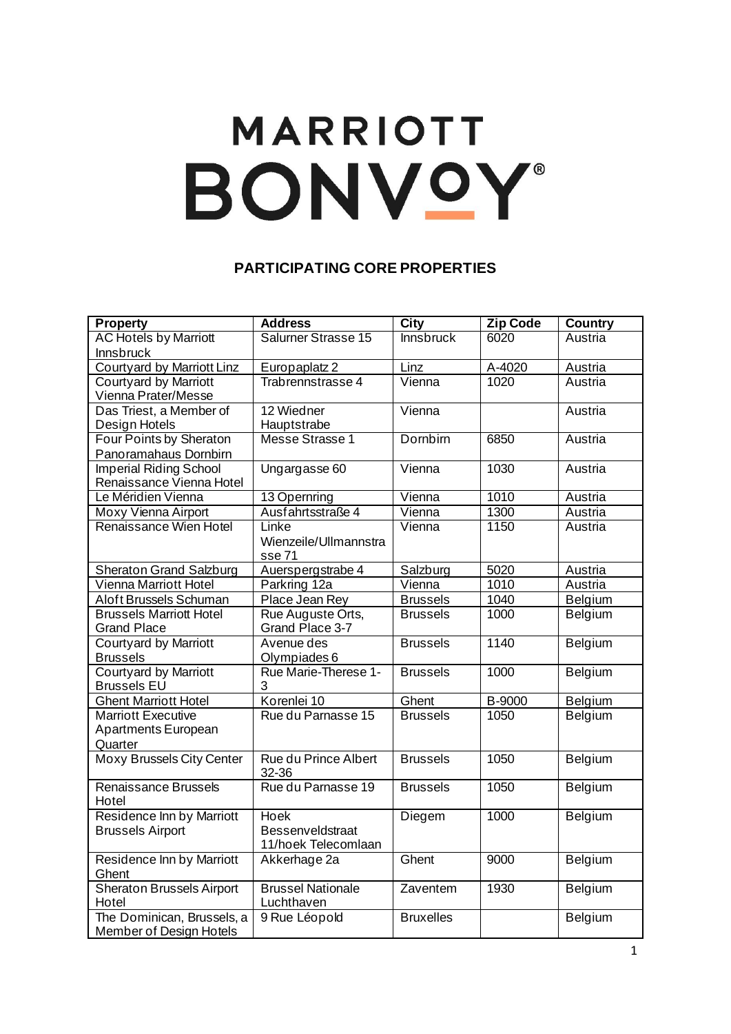## **MARRIOTT** BONVOY®

## **PARTICIPATING CORE PROPERTIES**

| <b>Property</b>                                    | <b>Address</b>                       | <b>City</b>      | <b>Zip Code</b>   | <b>Country</b> |
|----------------------------------------------------|--------------------------------------|------------------|-------------------|----------------|
| <b>AC Hotels by Marriott</b>                       | Salurner Strasse 15                  | <b>Innsbruck</b> | 6020              | Austria        |
| Innsbruck                                          |                                      |                  |                   |                |
| <b>Courtyard by Marriott Linz</b>                  | Europaplatz 2                        | Linz             | A-4020            | Austria        |
| <b>Courtyard by Marriott</b>                       | Trabrennstrasse 4                    | Vienna           | 1020              | Austria        |
| Vienna Prater/Messe                                |                                      |                  |                   |                |
| Das Triest, a Member of                            | 12 Wiedner                           | Vienna           |                   | Austria        |
| Design Hotels                                      | Hauptstrabe                          |                  |                   |                |
| <b>Four Points by Sheraton</b>                     | Messe Strasse 1                      | Dornbirn         | 6850              | Austria        |
| Panoramahaus Dornbirn                              |                                      |                  |                   |                |
| <b>Imperial Riding School</b>                      | Ungargasse 60                        | Vienna           | $10\overline{30}$ | Austria        |
| Renaissance Vienna Hotel                           |                                      |                  |                   |                |
| Le Méridien Vienna                                 | 13 Opernring                         | Vienna           | 1010              | Austria        |
| Moxy Vienna Airport                                | Ausfahrtsstraße 4                    | Vienna           | 1300              | Austria        |
| Renaissance Wien Hotel                             | Linke                                | Vienna           | 1150              | Austria        |
|                                                    | Wienzeile/Ullmannstra                |                  |                   |                |
|                                                    | sse 71                               |                  |                   |                |
| <b>Sheraton Grand Salzburg</b>                     | Auerspergstrabe 4                    | Salzburg         | 5020              | Austria        |
| <b>Vienna Marriott Hotel</b>                       | Parkring 12a                         | Vienna           | 1010              | Austria        |
| Aloft Brussels Schuman                             | Place Jean Rey                       | <b>Brussels</b>  | 1040              | <b>Belgium</b> |
| <b>Brussels Marriott Hotel</b>                     | Rue Auguste Orts,                    | <b>Brussels</b>  | 1000              | Belgium        |
| <b>Grand Place</b>                                 | Grand Place 3-7                      |                  |                   |                |
| <b>Courtyard by Marriott</b>                       | Avenue des                           | <b>Brussels</b>  | 1140              | Belgium        |
| <b>Brussels</b>                                    | Olympiades 6<br>Rue Marie-Therese 1- |                  |                   |                |
| <b>Courtyard by Marriott</b><br><b>Brussels EU</b> | 3                                    | <b>Brussels</b>  | 1000              | Belgium        |
| <b>Ghent Marriott Hotel</b>                        | Korenlei 10                          | Ghent            | B-9000            | Belgium        |
| <b>Marriott Executive</b>                          | Rue du Parnasse 15                   | <b>Brussels</b>  | 1050              | Belgium        |
| Apartments European                                |                                      |                  |                   |                |
| Quarter                                            |                                      |                  |                   |                |
| <b>Moxy Brussels City Center</b>                   | <b>Rue du Prince Albert</b>          | <b>Brussels</b>  | 1050              | Belgium        |
|                                                    | 32-36                                |                  |                   |                |
| Renaissance Brussels                               | Rue du Parnasse 19                   | <b>Brussels</b>  | 1050              | Belgium        |
| Hotel                                              |                                      |                  |                   |                |
| Residence Inn by Marriott                          | <b>Hoek</b>                          | Diegem           | 1000              | Belgium        |
| <b>Brussels Airport</b>                            | <b>Bessenveldstraat</b>              |                  |                   |                |
|                                                    | 11/hoek Telecomlaan                  |                  |                   |                |
| Residence Inn by Marriott                          | Akkerhage 2a                         | Ghent            | 9000              | Belgium        |
| Ghent                                              |                                      |                  |                   |                |
| <b>Sheraton Brussels Airport</b>                   | <b>Brussel Nationale</b>             | Zaventem         | 1930              | Belgium        |
| Hotel                                              | Luchthaven                           |                  |                   |                |
| The Dominican, Brussels, a                         | 9 Rue Léopold                        | <b>Bruxelles</b> |                   | Belgium        |
| Member of Design Hotels                            |                                      |                  |                   |                |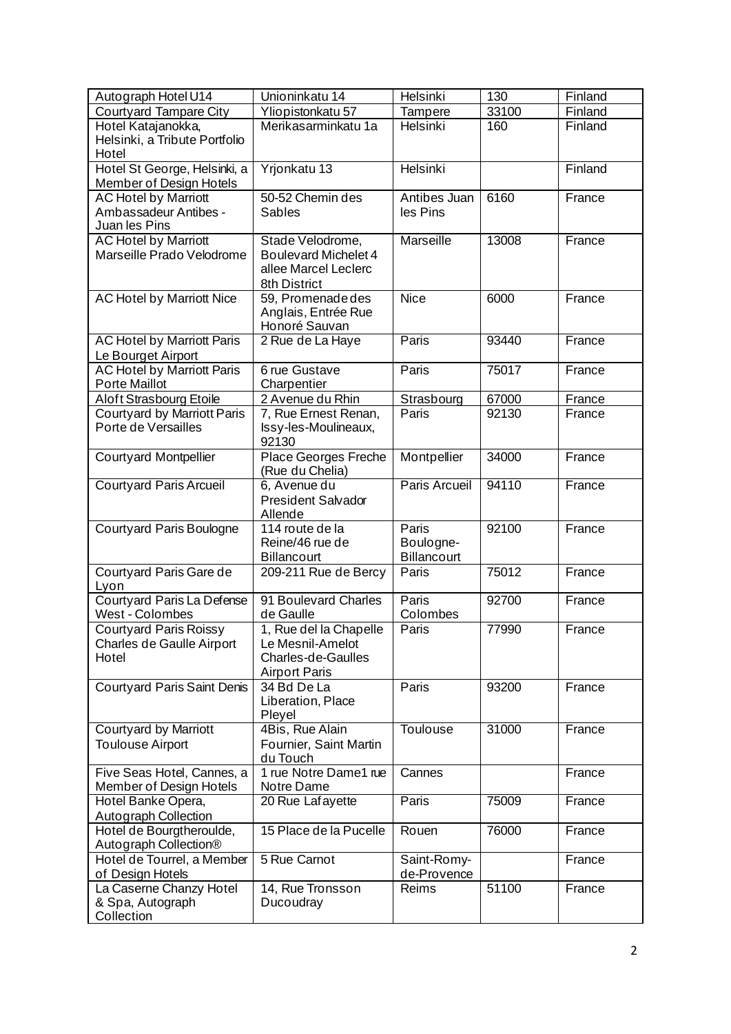| Autograph Hotel U14                                                   | Unioninkatu 14                                                                                  | Helsinki                          | 130   | Finland |
|-----------------------------------------------------------------------|-------------------------------------------------------------------------------------------------|-----------------------------------|-------|---------|
| Courtyard Tampare City                                                | Yliopistonkatu 57                                                                               | Tampere                           | 33100 | Finland |
| Hotel Katajanokka,<br>Helsinki, a Tribute Portfolio<br>Hotel          | Merikasarminkatu 1a                                                                             | Helsinki                          | 160   | Finland |
| Hotel St George, Helsinki, a<br><b>Member of Design Hotels</b>        | Yrjonkatu 13                                                                                    | <b>Helsinki</b>                   |       | Finland |
| <b>AC Hotel by Marriott</b><br>Ambassadeur Antibes -<br>Juan les Pins | 50-52 Chemin des<br><b>Sables</b>                                                               | Antibes Juan<br>les Pins          | 6160  | France  |
| <b>AC Hotel by Marriott</b><br>Marseille Prado Velodrome              | Stade Velodrome,<br><b>Boulevard Michelet 4</b><br>allee Marcel Leclerc<br>8th District         | <b>Marseille</b>                  | 13008 | France  |
| <b>AC Hotel by Marriott Nice</b>                                      | 59, Promenade des<br>Anglais, Entrée Rue<br>Honoré Sauvan                                       | <b>Nice</b>                       | 6000  | France  |
| <b>AC Hotel by Marriott Paris</b><br>Le Bourget Airport               | 2 Rue de La Haye                                                                                | Paris                             | 93440 | France  |
| <b>AC Hotel by Marriott Paris</b><br>Porte Maillot                    | 6 rue Gustave<br>Charpentier                                                                    | Paris                             | 75017 | France  |
| Aloft Strasbourg Etoile                                               | 2 Avenue du Rhin                                                                                | Strasbourg                        | 67000 | France  |
| Courtyard by Marriott Paris<br>Porte de Versailles                    | 7, Rue Ernest Renan,<br>Issy-les-Moulineaux,<br>92130                                           | Paris                             | 92130 | France  |
| <b>Courtyard Montpellier</b>                                          | Place Georges Freche<br>(Rue du Chelia)                                                         | Montpellier                       | 34000 | France  |
| <b>Courtyard Paris Arcueil</b>                                        | 6, Avenue du<br><b>President Salvador</b><br>Allende                                            | Paris Arcueil                     | 94110 | France  |
| <b>Courtyard Paris Boulogne</b>                                       | 114 route de la<br>Reine/46 rue de<br><b>Billancourt</b>                                        | Paris<br>Boulogne-<br>Billancourt | 92100 | France  |
| Courtyard Paris Gare de<br>Lyon                                       | 209-211 Rue de Bercy                                                                            | Paris                             | 75012 | France  |
| Courtyard Paris La Defense<br>West - Colombes                         | 91 Boulevard Charles<br>de Gaulle                                                               | Paris<br>Colombes                 | 92700 | France  |
| <b>Courtyard Paris Roissy</b><br>Charles de Gaulle Airport<br>Hotel   | 1, Rue del la Chapelle<br>Le Mesnil-Amelot<br><b>Charles-de-Gaulles</b><br><b>Airport Paris</b> | Paris                             | 77990 | France  |
| <b>Courtyard Paris Saint Denis</b>                                    | 34 Bd De La<br>Liberation, Place<br>Pleyel                                                      | Paris                             | 93200 | France  |
| Courtyard by Marriott<br><b>Toulouse Airport</b>                      | 4Bis, Rue Alain<br>Fournier, Saint Martin<br>du Touch                                           | Toulouse                          | 31000 | France  |
| Five Seas Hotel, Cannes, a<br>Member of Design Hotels                 | 1 rue Notre Dame1 rue<br>Notre Dame                                                             | Cannes                            |       | France  |
| Hotel Banke Opera,<br>Autograph Collection                            | 20 Rue Lafayette                                                                                | Paris                             | 75009 | France  |
| Hotel de Bourgtheroulde,<br>Autograph Collection®                     | 15 Place de la Pucelle                                                                          | Rouen                             | 76000 | France  |
| Hotel de Tourrel, a Member<br>of Design Hotels                        | 5 Rue Carnot                                                                                    | Saint-Romy-<br>de-Provence        |       | France  |
| La Caserne Chanzy Hotel<br>& Spa, Autograph<br>Collection             | 14, Rue Tronsson<br>Ducoudray                                                                   | Reims                             | 51100 | France  |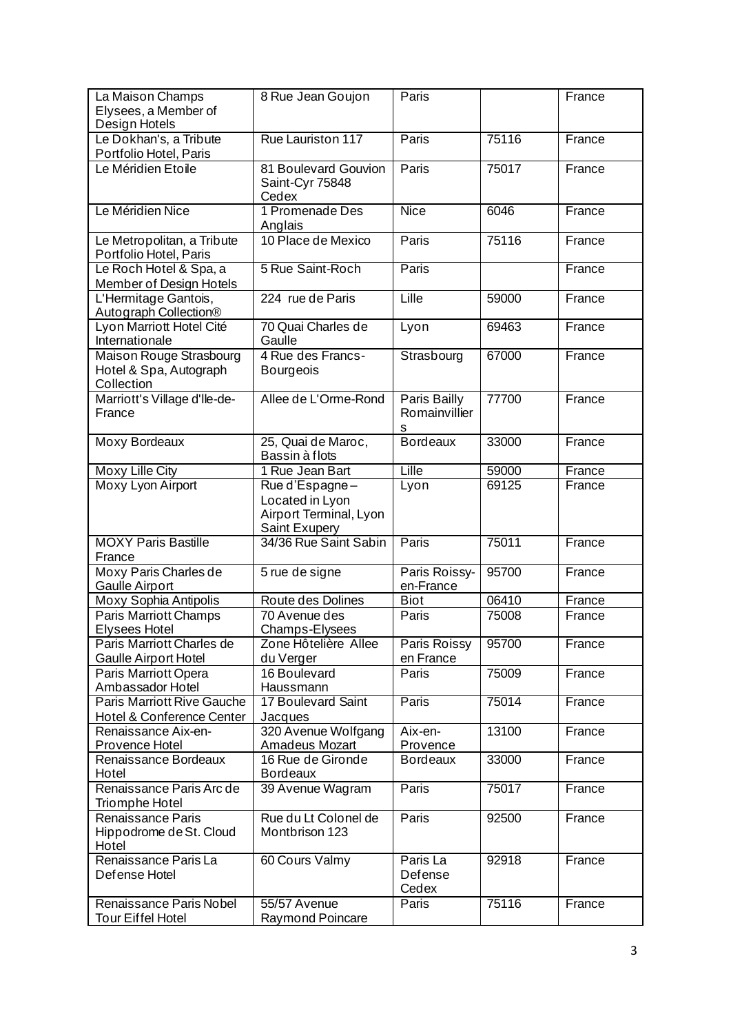| La Maison Champs<br>Elysees, a Member of<br>Design Hotels       | 8 Rue Jean Goujon                                                            | Paris                              |       | France |
|-----------------------------------------------------------------|------------------------------------------------------------------------------|------------------------------------|-------|--------|
| Le Dokhan's, a Tribute<br>Portfolio Hotel, Paris                | Rue Lauriston 117                                                            | Paris                              | 75116 | France |
| Le Méridien Etoile                                              | 81 Boulevard Gouvion<br>Saint-Cyr 75848<br>Cedex                             | Paris                              | 75017 | France |
| Le Méridien Nice                                                | 1 Promenade Des<br>Anglais                                                   | <b>Nice</b>                        | 6046  | France |
| Le Metropolitan, a Tribute<br>Portfolio Hotel, Paris            | 10 Place de Mexico                                                           | Paris                              | 75116 | France |
| Le Roch Hotel & Spa, a<br>Member of Design Hotels               | 5 Rue Saint-Roch                                                             | Paris                              |       | France |
| L'Hermitage Gantois,<br>Autograph Collection®                   | $\overline{224}$ rue de Paris                                                | Lille                              | 59000 | France |
| Lyon Marriott Hotel Cité<br>Internationale                      | 70 Quai Charles de<br>Gaulle                                                 | Lyon                               | 69463 | France |
| Maison Rouge Strasbourg<br>Hotel & Spa, Autograph<br>Collection | 4 Rue des Francs-<br><b>Bourgeois</b>                                        | Strasbourg                         | 67000 | France |
| Marriott's Village d'Ile-de-<br>France                          | Allee de L'Orme-Rond                                                         | Paris Bailly<br>Romainvillier<br>s | 77700 | France |
| Moxy Bordeaux                                                   | 25, Quai de Maroc,<br>Bassin à flots                                         | <b>Bordeaux</b>                    | 33000 | France |
| <b>Moxy Lille City</b>                                          | 1 Rue Jean Bart                                                              | Lille                              | 59000 | France |
| <b>Moxy Lyon Airport</b>                                        | Rue d'Espagne-<br>Located in Lyon<br>Airport Terminal, Lyon<br>Saint Exupery | Lyon                               | 69125 | France |
| <b>MOXY Paris Bastille</b><br>France                            | 34/36 Rue Saint Sabin                                                        | Paris                              | 75011 | France |
| Moxy Paris Charles de<br><b>Gaulle Airport</b>                  | $\overline{5}$ rue de signe                                                  | Paris Roissy-<br>en-France         | 95700 | France |
| <b>Moxy Sophia Antipolis</b>                                    | Route des Dolines                                                            | <b>Biot</b>                        | 06410 | France |
| Paris Marriott Champs<br><b>Elysees Hotel</b>                   | 70 Avenue des<br>Champs-Elysees                                              | Paris                              | 75008 | France |
| Paris Marriott Charles de<br><b>Gaulle Airport Hotel</b>        | Zone Hôtelière Allee<br>du Verger                                            | Paris Roissy<br>en France          | 95700 | France |
| Paris Marriott Opera<br>Ambassador Hotel                        | 16 Boulevard<br>Haussmann                                                    | Paris                              | 75009 | France |
| <b>Paris Marriott Rive Gauche</b><br>Hotel & Conference Center  | <b>17 Boulevard Saint</b><br>Jacques                                         | Paris                              | 75014 | France |
| Renaissance Aix-en-<br>Provence Hotel                           | 320 Avenue Wolfgang<br>Amadeus Mozart                                        | Aix-en-<br>Provence                | 13100 | France |
| Renaissance Bordeaux<br>Hotel                                   | 16 Rue de Gironde<br><b>Bordeaux</b>                                         | <b>Bordeaux</b>                    | 33000 | France |
| Renaissance Paris Arc de<br><b>Triomphe Hotel</b>               | 39 Avenue Wagram                                                             | Paris                              | 75017 | France |
| <b>Renaissance Paris</b><br>Hippodrome de St. Cloud<br>Hotel    | Rue du Lt Colonel de<br>Montbrison 123                                       | Paris                              | 92500 | France |
| Renaissance Paris La<br>Defense Hotel                           | 60 Cours Valmy                                                               | Paris La<br>Defense<br>Cedex       | 92918 | France |
| <b>Renaissance Paris Nobel</b><br><b>Tour Eiffel Hotel</b>      | 55/57 Avenue<br><b>Raymond Poincare</b>                                      | Paris                              | 75116 | France |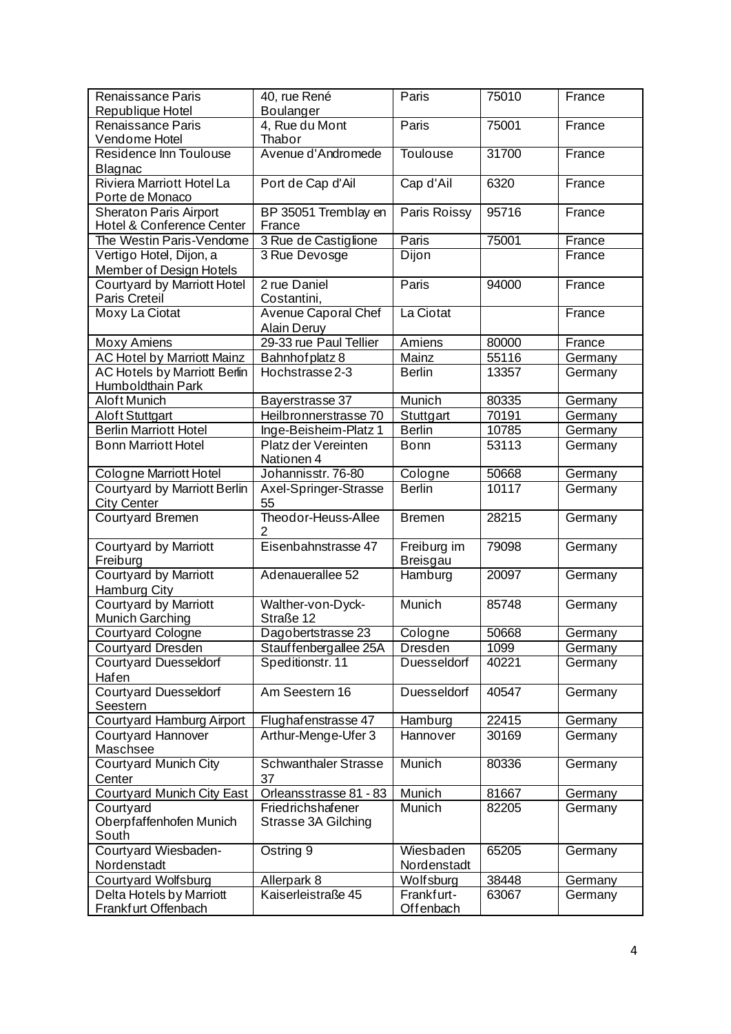| Renaissance Paris<br>Republique Hotel                    | 40, rue René<br>Boulanger                | Paris                          | 75010 | France  |
|----------------------------------------------------------|------------------------------------------|--------------------------------|-------|---------|
| Renaissance Paris                                        | 4, Rue du Mont                           | Paris                          | 75001 | France  |
| Vendome Hotel                                            | Thabor                                   |                                |       |         |
| Residence Inn Toulouse<br>Blagnac                        | Avenue d'Andromede                       | <b>Toulouse</b>                | 31700 | France  |
| <b>Riviera Marriott Hotel La</b><br>Porte de Monaco      | Port de Cap d'Ail                        | Cap d'Ail                      | 6320  | France  |
| <b>Sheraton Paris Airport</b>                            | BP 35051 Tremblay en                     | Paris Roissy                   | 95716 | France  |
| Hotel & Conference Center                                | France                                   |                                |       |         |
| The Westin Paris-Vendome                                 | 3 Rue de Castiglione                     | Paris                          | 75001 | France  |
| Vertigo Hotel, Dijon, a                                  | 3 Rue Devosge                            | <b>Dijon</b>                   |       | France  |
| Member of Design Hotels                                  |                                          |                                |       |         |
| Courtyard by Marriott Hotel<br>Paris Creteil             | 2 rue Daniel<br>Costantini,              | Paris                          | 94000 | France  |
| <b>Moxy La Ciotat</b>                                    | Avenue Caporal Chef                      | La Ciotat                      |       | France  |
|                                                          | <b>Alain Deruy</b>                       |                                |       |         |
| <b>Moxy Amiens</b>                                       | 29-33 rue Paul Tellier                   | Amiens                         | 80000 | France  |
| AC Hotel by Marriott Mainz                               | Bahnhof platz 8                          | Mainz                          | 55116 | Germany |
| <b>AC Hotels by Marriott Berlin</b><br>Humboldthain Park | Hochstrasse 2-3                          | <b>Berlin</b>                  | 13357 | Germany |
| Aloft Munich                                             | Bayerstrasse 37                          | Munich                         | 80335 | Germany |
| <b>Aloft Stuttgart</b>                                   | Heilbronnerstrasse 70                    | Stuttgart                      | 70191 | Germany |
| <b>Berlin Marriott Hotel</b>                             | Inge-Beisheim-Platz 1                    | <b>Berlin</b>                  | 10785 | Germany |
| <b>Bonn Marriott Hotel</b>                               | Platz der Vereinten<br>Nationen 4        | <b>Bonn</b>                    | 53113 | Germany |
| Cologne Marriott Hotel                                   | Johannisstr. 76-80                       | Cologne                        | 50668 | Germany |
| <b>Courtyard by Marriott Berlin</b>                      | Axel-Springer-Strasse                    | <b>Berlin</b>                  | 10117 | Germany |
| <b>City Center</b>                                       | 55                                       |                                |       |         |
| Courtyard Bremen                                         | Theodor-Heuss-Allee<br>2                 | <b>Bremen</b>                  | 28215 | Germany |
| Courtyard by Marriott<br>Freiburg                        | Eisenbahnstrasse 47                      | Freiburg im<br><b>Breisgau</b> | 79098 | Germany |
| <b>Courtyard by Marriott</b>                             | Adenauerallee 52                         | Hamburg                        | 20097 | Germany |
| <b>Hamburg City</b>                                      |                                          |                                |       |         |
| <b>Courtyard by Marriott</b><br><b>Munich Garching</b>   | Walther-von-Dyck-<br>Straße 12           | Munich                         | 85748 | Germany |
| Courtyard Cologne                                        | Dagobertstrasse 23                       | Cologne                        | 50668 | Germany |
| Courtyard Dresden                                        | Stauffenbergallee 25A                    | <b>Dresden</b>                 | 1099  | Germany |
| <b>Courtyard Duesseldorf</b>                             | Speditionstr. 11                         | Duesseldorf                    | 40221 | Germany |
| Hafen                                                    |                                          |                                |       |         |
| <b>Courtyard Duesseldorf</b><br>Seestern                 | Am Seestern 16                           | Duesseldorf                    | 40547 | Germany |
| <b>Courtyard Hamburg Airport</b>                         | Flughaf enstrasse 47                     | Hamburg                        | 22415 | Germany |
| <b>Courtyard Hannover</b><br>Maschsee                    | Arthur-Menge-Ufer 3                      | Hannover                       | 30169 | Germany |
| <b>Courtyard Munich City</b>                             | <b>Schwanthaler Strasse</b>              | Munich                         | 80336 | Germany |
| Center                                                   | 37                                       |                                |       |         |
| <b>Courtyard Munich City East</b>                        | Orleansstrasse 81 - 83                   | Munich                         | 81667 | Germany |
| Courtyard<br>Oberpfaffenhofen Munich<br>South            | Friedrichshafener<br>Strasse 3A Gilching | Munich                         | 82205 | Germany |
| Courtyard Wiesbaden-<br>Nordenstadt                      | Ostring 9                                | Wiesbaden<br>Nordenstadt       | 65205 | Germany |
| Courtyard Wolfsburg                                      | Allerpark 8                              | Wolfsburg                      | 38448 | Germany |
| Delta Hotels by Marriott<br>Frankfurt Offenbach          | Kaiserleistraße 45                       | Frankfurt-<br>Offenbach        | 63067 | Germany |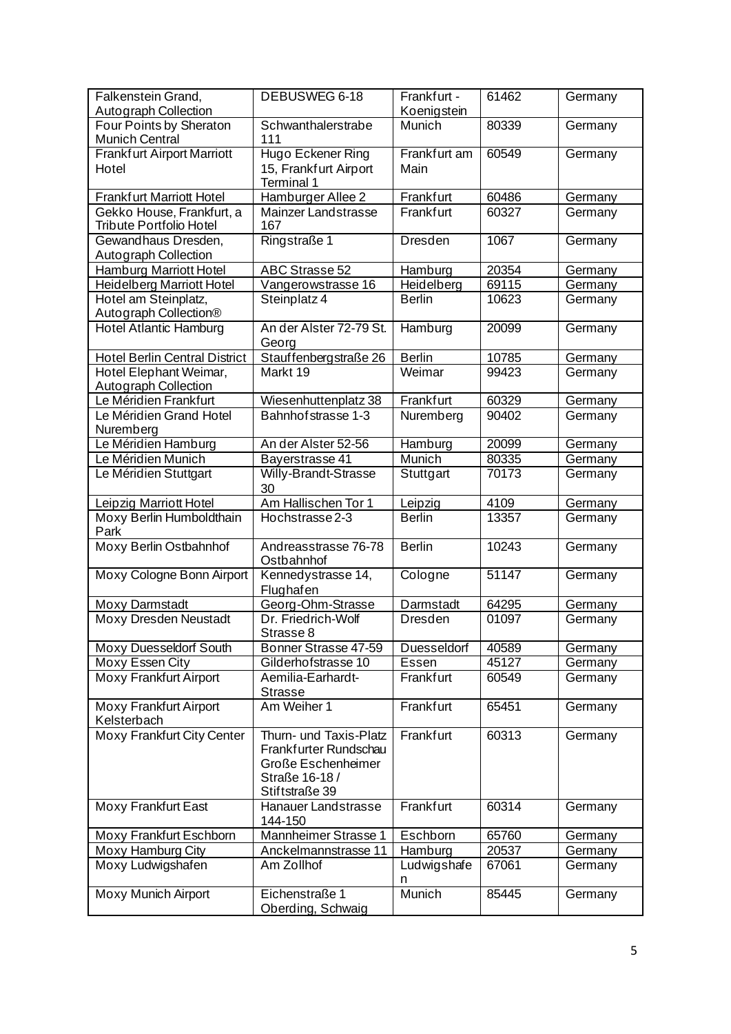| Falkenstein Grand,                               | DEBUSWEG 6-18                              | Frankfurt -      | 61462 | Germany |
|--------------------------------------------------|--------------------------------------------|------------------|-------|---------|
| Autograph Collection                             |                                            | Koenigstein      |       |         |
| Four Points by Sheraton<br><b>Munich Central</b> | Schwanthalerstrabe<br>111                  | Munich           | 80339 | Germany |
| <b>Frankfurt Airport Marriott</b>                | Hugo Eckener Ring                          | Frankfurt am     | 60549 | Germany |
| Hotel                                            | 15, Frankfurt Airport<br><b>Terminal 1</b> | Main             |       |         |
| <b>Frankfurt Marriott Hotel</b>                  | Hamburger Allee 2                          | Frankfurt        | 60486 | Germany |
| Gekko House, Frankfurt, a                        | <b>Mainzer Landstrasse</b>                 | Frankfurt        | 60327 | Germany |
| <b>Tribute Portfolio Hotel</b>                   | 167                                        |                  |       |         |
| Gewandhaus Dresden,                              | Ringstraße 1                               | <b>Dresden</b>   | 1067  | Germany |
| <b>Autograph Collection</b>                      |                                            |                  |       |         |
| Hamburg Marriott Hotel                           | <b>ABC Strasse 52</b>                      | Hamburg          | 20354 | Germany |
| Heidelberg Marriott Hotel                        | Vangerowstrasse 16                         | Heidelberg       | 69115 | Germany |
| Hotel am Steinplatz,                             | Steinplatz 4                               | <b>Berlin</b>    | 10623 | Germany |
| Autograph Collection®                            |                                            |                  |       |         |
| <b>Hotel Atlantic Hamburg</b>                    | An der Alster 72-79 St.<br>Georg           | Hamburg          | 20099 | Germany |
| <b>Hotel Berlin Central District</b>             | Stauffenbergstraße 26                      | <b>Berlin</b>    | 10785 | Germany |
| Hotel Elephant Weimar,                           | Markt 19                                   | Weimar           | 99423 | Germany |
| Autograph Collection                             |                                            |                  |       |         |
| Le Méridien Frankfurt                            | Wiesenhuttenplatz 38                       | Frankfurt        | 60329 | Germany |
| Le Méridien Grand Hotel                          | Bahnhof strasse 1-3                        | Nuremberg        | 90402 | Germany |
| Nuremberg                                        |                                            |                  |       |         |
| Le Méridien Hamburg                              | An der Alster 52-56                        | Hamburg          | 20099 | Germany |
| Le Méridien Munich                               | Bayerstrasse 41                            | Munich           | 80335 | Germany |
| Le Méridien Stuttgart                            | <b>Willy-Brandt-Strasse</b>                | Stuttgart        | 70173 | Germany |
|                                                  | 30                                         |                  |       |         |
| Leipzig Marriott Hotel                           | Am Hallischen Tor 1                        | Leipzig          | 4109  | Germany |
| Moxy Berlin Humboldthain<br>Park                 | Hochstrasse 2-3                            | <b>Berlin</b>    | 13357 | Germany |
| Moxy Berlin Ostbahnhof                           | Andreasstrasse 76-78                       | <b>Berlin</b>    | 10243 | Germany |
|                                                  | Ostbahnhof                                 |                  |       |         |
| Moxy Cologne Bonn Airport                        | Kennedystrasse 14,<br>Flughafen            | Cologne          | 51147 | Germany |
| Moxy Darmstadt                                   | Georg-Ohm-Strasse                          | Darmstadt        | 64295 | Germany |
| Moxy Dresden Neustadt                            | Dr. Friedrich-Wolf<br>Strasse 8            | <b>Dresden</b>   | 01097 | Germany |
| Moxy Duesseldorf South                           | Bonner Strasse 47-59                       | Duesseldorf      | 40589 | Germany |
| Moxy Essen City                                  | Gilderhofstrasse 10                        | Essen            | 45127 | Germany |
| <b>Moxy Frankfurt Airport</b>                    | Aemilia-Earhardt-                          | <b>Frankfurt</b> | 60549 | Germany |
|                                                  | <b>Strasse</b>                             |                  |       |         |
| <b>Moxy Frankfurt Airport</b><br>Kelsterbach     | Am Weiher 1                                | Frankfurt        | 65451 | Germany |
| Moxy Frankfurt City Center                       | Thurn- und Taxis-Platz                     | Frankfurt        | 60313 | Germany |
|                                                  | Frankfurter Rundschau                      |                  |       |         |
|                                                  | Große Eschenheimer                         |                  |       |         |
|                                                  | Straße 16-18 /                             |                  |       |         |
|                                                  | Stiftstraße 39                             |                  |       |         |
| <b>Moxy Frankfurt East</b>                       | Hanauer Landstrasse<br>144-150             | Frankfurt        | 60314 | Germany |
| Moxy Frankfurt Eschborn                          | Mannheimer Strasse 1                       | Eschborn         | 65760 | Germany |
| Moxy Hamburg City                                | Anckelmannstrasse 11                       | Hamburg          | 20537 | Germany |
| Moxy Ludwigshafen                                | Am Zollhof                                 | Ludwigshafe      | 67061 | Germany |
|                                                  |                                            | n                |       |         |
| Moxy Munich Airport                              | Eichenstraße 1                             | <b>Munich</b>    | 85445 | Germany |
|                                                  | Oberding, Schwaig                          |                  |       |         |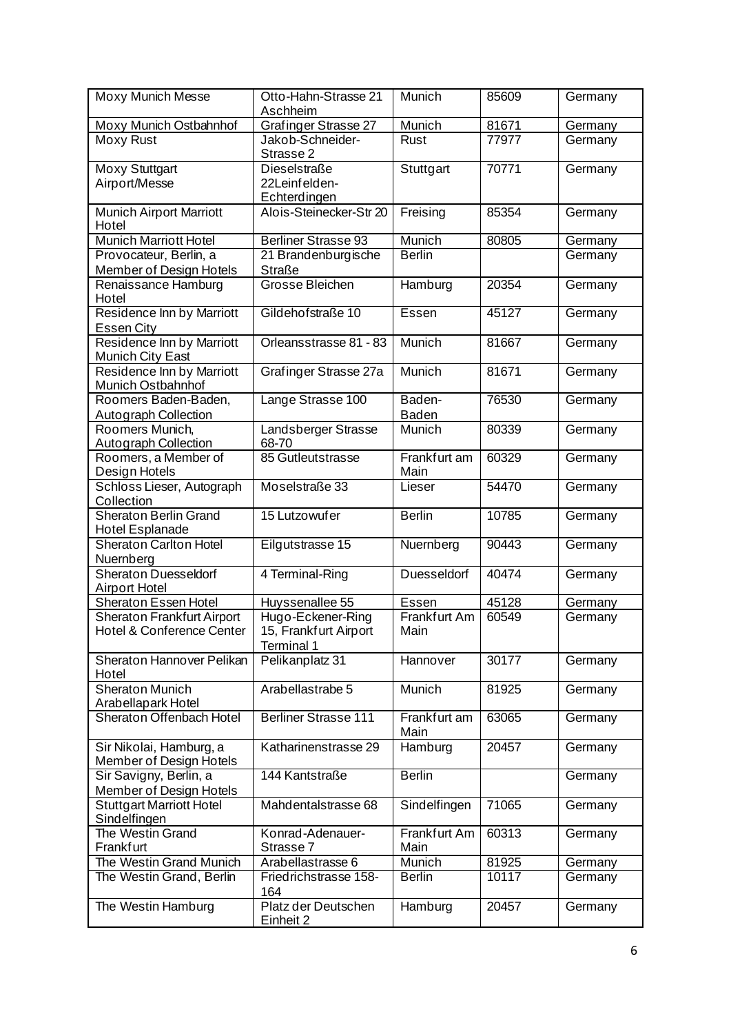| Moxy Munich Messe                                              | Otto-Hahn-Strasse 21<br>Aschheim                         | Munich                 | 85609 | Germany |
|----------------------------------------------------------------|----------------------------------------------------------|------------------------|-------|---------|
| Moxy Munich Ostbahnhof                                         | <b>Grafinger Strasse 27</b>                              | Munich                 | 81671 | Germany |
| Moxy Rust                                                      | Jakob-Schneider-<br>Strasse 2                            | Rust                   | 77977 | Germany |
| <b>Moxy Stuttgart</b><br>Airport/Messe                         | Dieselstraße<br>22Leinfelden-<br>Echterdingen            | Stuttgart              | 70771 | Germany |
| Munich Airport Marriott<br>Hotel                               | Alois-Steinecker-Str 20                                  | Freising               | 85354 | Germany |
| <b>Munich Marriott Hotel</b>                                   | <b>Berliner Strasse 93</b>                               | Munich                 | 80805 | Germany |
| Provocateur, Berlin, a                                         | 21 Brandenburgische                                      | <b>Berlin</b>          |       | Germany |
| Member of Design Hotels                                        | <b>Straße</b>                                            |                        |       |         |
| Renaissance Hamburg<br>Hotel                                   | Grosse Bleichen                                          | Hamburg                | 20354 | Germany |
| Residence Inn by Marriott<br><b>Essen City</b>                 | Gildehofstraße 10                                        | Essen                  | 45127 | Germany |
| Residence Inn by Marriott<br><b>Munich City East</b>           | Orleansstrasse 81 - 83                                   | Munich                 | 81667 | Germany |
| Residence Inn by Marriott<br><b>Munich Ostbahnhof</b>          | Grafinger Strasse 27a                                    | Munich                 | 81671 | Germany |
| Roomers Baden-Baden,<br>Autograph Collection                   | Lange Strasse 100                                        | Baden-<br><b>Baden</b> | 76530 | Germany |
| Roomers Munich,<br><b>Autograph Collection</b>                 | Landsberger Strasse<br>68-70                             | Munich                 | 80339 | Germany |
| Roomers, a Member of<br>Design Hotels                          | 85 Gutleutstrasse                                        | Frankfurt am<br>Main   | 60329 | Germany |
| Schloss Lieser, Autograph<br>Collection                        | Moselstraße 33                                           | Lieser                 | 54470 | Germany |
| <b>Sheraton Berlin Grand</b><br><b>Hotel Esplanade</b>         | 15 Lutzowufer                                            | <b>Berlin</b>          | 10785 | Germany |
| <b>Sheraton Carlton Hotel</b><br>Nuernberg                     | Eilgutstrasse 15                                         | Nuernberg              | 90443 | Germany |
| <b>Sheraton Duesseldorf</b><br><b>Airport Hotel</b>            | 4 Terminal-Ring                                          | Duesseldorf            | 40474 | Germany |
| <b>Sheraton Essen Hotel</b>                                    | Huyssenallee 55                                          | Essen                  | 45128 | Germany |
| <b>Sheraton Frankfurt Airport</b><br>Hotel & Conference Center | Hugo-Eckener-Ring<br>15, Frankfurt Airport<br>Terminal 1 | Frankfurt Am<br>Main   | 60549 | Germany |
| Sheraton Hannover Pelikan<br>Hotel                             | Pelikanplatz 31                                          | Hannover               | 30177 | Germany |
| <b>Sheraton Munich</b><br>Arabellapark Hotel                   | Arabellastrabe 5                                         | Munich                 | 81925 | Germany |
| Sheraton Offenbach Hotel                                       | <b>Berliner Strasse 111</b>                              | Frankfurt am<br>Main   | 63065 | Germany |
| Sir Nikolai, Hamburg, a<br>Member of Design Hotels             | Katharinenstrasse 29                                     | Hamburg                | 20457 | Germany |
| Sir Savigny, Berlin, a<br>Member of Design Hotels              | 144 Kantstraße                                           | <b>Berlin</b>          |       | Germany |
| <b>Stuttgart Marriott Hotel</b><br>Sindelfingen                | Mahdentalstrasse 68                                      | Sindelfingen           | 71065 | Germany |
| The Westin Grand<br>Frankfurt                                  | Konrad-Adenauer-<br>Strasse 7                            | Frankfurt Am<br>Main   | 60313 | Germany |
| The Westin Grand Munich                                        | Arabellastrasse 6                                        | Munich                 | 81925 | Germany |
| The Westin Grand, Berlin                                       | Friedrichstrasse 158-<br>164                             | <b>Berlin</b>          | 10117 | Germany |
| The Westin Hamburg                                             | Platz der Deutschen<br>Einheit 2                         | Hamburg                | 20457 | Germany |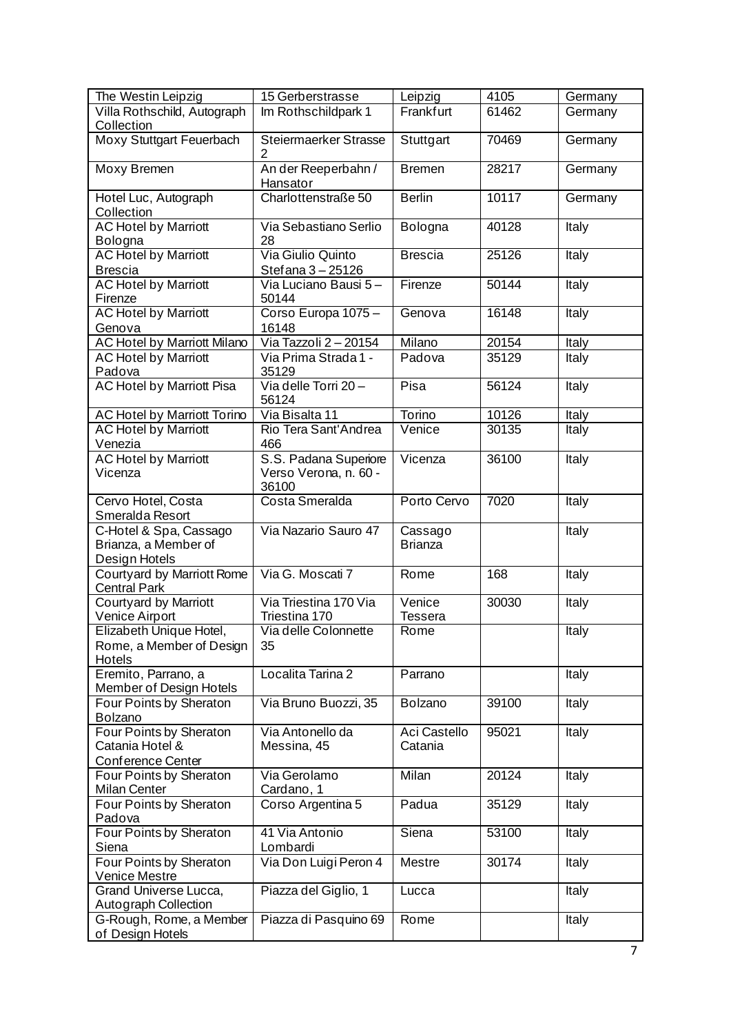| The Westin Leipzig                                                     | 15 Gerberstrasse                                        | Leipzig                   | 4105  | Germany |
|------------------------------------------------------------------------|---------------------------------------------------------|---------------------------|-------|---------|
| Villa Rothschild, Autograph                                            | Im Rothschildpark 1                                     | Frankfurt                 | 61462 | Germany |
| Collection                                                             |                                                         |                           |       |         |
| <b>Moxy Stuttgart Feuerbach</b>                                        | Steiermaerker Strasse<br>2                              | Stuttgart                 | 70469 | Germany |
| <b>Moxy Bremen</b>                                                     | An der Reeperbahn /<br>Hansator                         | <b>Bremen</b>             | 28217 | Germany |
| Hotel Luc, Autograph<br>Collection                                     | Charlottenstraße 50                                     | <b>Berlin</b>             | 10117 | Germany |
| <b>AC Hotel by Marriott</b><br>Bologna                                 | Via Sebastiano Serlio<br>28                             | Bologna                   | 40128 | Italy   |
| <b>AC Hotel by Marriott</b><br><b>Brescia</b>                          | Via Giulio Quinto<br>Stef ana 3 - 25126                 | <b>Brescia</b>            | 25126 | Italy   |
| <b>AC Hotel by Marriott</b><br>Firenze                                 | Via Luciano Bausi 5-<br>50144                           | Firenze                   | 50144 | Italy   |
| <b>AC Hotel by Marriott</b><br>Genova                                  | Corso Europa 1075 -<br>16148                            | Genova                    | 16148 | Italy   |
| <b>AC Hotel by Marriott Milano</b>                                     | Via Tazzoli 2-20154                                     | Milano                    | 20154 | Italy   |
| <b>AC Hotel by Marriott</b><br>Padova                                  | Via Prima Strada 1 -<br>35129                           | Padova                    | 35129 | Italy   |
| <b>AC Hotel by Marriott Pisa</b>                                       | Via delle Torri 20-<br>56124                            | Pisa                      | 56124 | Italy   |
| <b>AC Hotel by Marriott Torino</b>                                     | Via Bisalta 11                                          | Torino                    | 10126 | Italy   |
| <b>AC Hotel by Marriott</b>                                            | Rio Tera Sant'Andrea                                    | Venice                    | 30135 | Italy   |
| Venezia                                                                | 466                                                     |                           |       |         |
| <b>AC Hotel by Marriott</b><br>Vicenza                                 | S.S. Padana Superiore<br>Verso Verona, n. 60 -<br>36100 | Vicenza                   | 36100 | Italy   |
| Cervo Hotel, Costa<br>Smeralda Resort                                  | Costa Smeralda                                          | Porto Cervo               | 7020  | Italy   |
| C-Hotel & Spa, Cassago<br>Brianza, a Member of<br>Design Hotels        | Via Nazario Sauro 47                                    | Cassago<br><b>Brianza</b> |       | Italy   |
| Courtyard by Marriott Rome<br><b>Central Park</b>                      | Via G. Moscati 7                                        | Rome                      | 168   | Italy   |
| Courtyard by Marriott<br>Venice Airport                                | Via Triestina 170 Via<br>Triestina 170                  | Venice<br><b>Tessera</b>  | 30030 | Italy   |
| Elizabeth Unique Hotel,<br>Rome, a Member of Design<br>Hotels          | Via delle Colonnette<br>35                              | Rome                      |       | Italy   |
| Eremito, Parrano, a<br>Member of Design Hotels                         | Localita Tarina 2                                       | Parrano                   |       | Italy   |
| Four Points by Sheraton<br>Bolzano                                     | Via Bruno Buozzi, 35                                    | Bolzano                   | 39100 | Italy   |
| Four Points by Sheraton<br>Catania Hotel &<br><b>Conference Center</b> | Via Antonello da<br>Messina, 45                         | Aci Castello<br>Catania   | 95021 | Italy   |
| Four Points by Sheraton<br>Milan Center                                | Via Gerolamo<br>Cardano, 1                              | Milan                     | 20124 | Italy   |
| Four Points by Sheraton<br>Padova                                      | Corso Argentina 5                                       | Padua                     | 35129 | Italy   |
| Four Points by Sheraton<br>Siena                                       | 41 Via Antonio<br>Lombardi                              | Siena                     | 53100 | Italy   |
| Four Points by Sheraton<br><b>Venice Mestre</b>                        | Via Don Luigi Peron 4                                   | <b>Mestre</b>             | 30174 | Italy   |
| Grand Universe Lucca,<br>Autograph Collection                          | Piazza del Giglio, 1                                    | Lucca                     |       | Italy   |
| G-Rough, Rome, a Member<br>of Design Hotels                            | Piazza di Pasquino 69                                   | Rome                      |       | Italy   |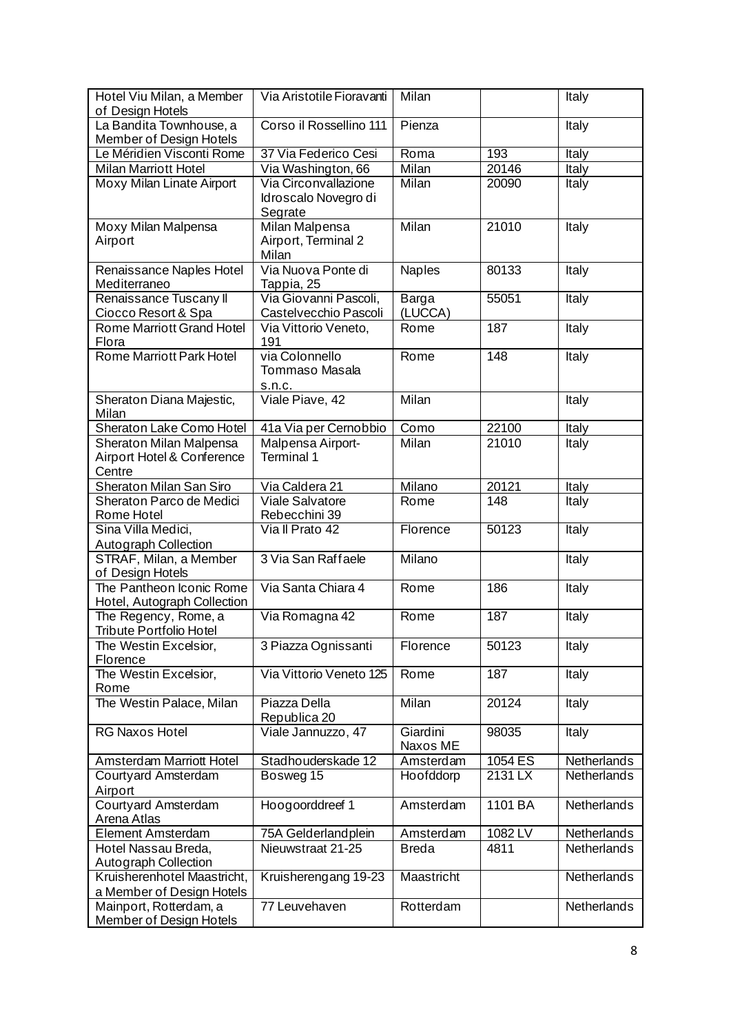| Hotel Viu Milan, a Member<br>of Design Hotels  | Via Aristotile Fioravanti           | Milan        |           | Italy                      |
|------------------------------------------------|-------------------------------------|--------------|-----------|----------------------------|
| La Bandita Townhouse, a                        | Corso il Rossellino 111             | Pienza       |           | Italy                      |
| Member of Design Hotels                        |                                     |              |           |                            |
| Le Méridien Visconti Rome                      | 37 Via Federico Cesi                | Roma         | 193       | <b>Italy</b>               |
| <b>Milan Marriott Hotel</b>                    | Via Washington, 66                  | <b>Milan</b> | 20146     | Italy                      |
| Moxy Milan Linate Airport                      | Via Circonvallazione                | <b>Milan</b> | 20090     | Italy                      |
|                                                | Idroscalo Novegro di                |              |           |                            |
|                                                | Segrate                             |              |           |                            |
| Moxy Milan Malpensa                            | <b>Milan Malpensa</b>               | Milan        | 21010     | Italy                      |
| Airport                                        | Airport, Terminal 2                 |              |           |                            |
|                                                | Milan                               |              |           |                            |
| Renaissance Naples Hotel                       | Via Nuova Ponte di                  | Naples       | 80133     | Italy                      |
| Mediterraneo                                   | Tappia, 25<br>Via Giovanni Pascoli, | Barga        | 55051     |                            |
| Renaissance Tuscany II<br>Ciocco Resort & Spa  | Castelvecchio Pascoli               | (LUCCA)      |           | Italy                      |
| <b>Rome Marriott Grand Hotel</b>               | Via Vittorio Veneto,                | Rome         | 187       | Italy                      |
| Flora                                          | 191                                 |              |           |                            |
| Rome Marriott Park Hotel                       | via Colonnello                      | Rome         | 148       | Italy                      |
|                                                | <b>Tommaso Masala</b>               |              |           |                            |
|                                                | S.n.c.                              |              |           |                            |
| Sheraton Diana Majestic,                       | Viale Piave, 42                     | Milan        |           | Italy                      |
| Milan                                          |                                     |              |           |                            |
| Sheraton Lake Como Hotel                       | 41a Via per Cernobbio               | Como         | 22100     | Italy                      |
| Sheraton Milan Malpensa                        | Malpensa Airport-                   | <b>Milan</b> | 21010     | Italy                      |
| Airport Hotel & Conference                     | <b>Terminal 1</b>                   |              |           |                            |
| Centre                                         |                                     |              |           |                            |
| Sheraton Milan San Siro                        | Via Caldera 21                      | Milano       | 20121     | Italy                      |
| Sheraton Parco de Medici                       | Viale Salvatore                     | Rome         | 148       | Italy                      |
| <b>Rome Hotel</b>                              | Rebecchini 39                       |              |           |                            |
| Sina Villa Medici,                             | Via Il Prato 42                     | Florence     | 50123     | Italy                      |
| Autograph Collection<br>STRAF, Milan, a Member | 3 Via San Raffaele                  | Milano       |           |                            |
| of Design Hotels                               |                                     |              |           | Italy                      |
| The Pantheon Iconic Rome                       | Via Santa Chiara 4                  | Rome         | 186       | Italy                      |
| Hotel, Autograph Collection                    |                                     |              |           |                            |
| The Regency, Rome, a                           | Via Romagna 42                      | Rome         | 187       | Italy                      |
| <b>Tribute Portfolio Hotel</b>                 |                                     |              |           |                            |
| The Westin Excelsior,                          | 3 Piazza Ognissanti                 | Florence     | 50123     | Italy                      |
| Florence                                       |                                     |              |           |                            |
| The Westin Excelsior,                          | Via Vittorio Veneto 125             | Rome         | 187       | Italy                      |
| Rome                                           |                                     |              |           |                            |
| The Westin Palace, Milan                       | Piazza Della                        | <b>Milan</b> | 20124     | Italy                      |
|                                                | Republica 20                        |              |           |                            |
| <b>RG Naxos Hotel</b>                          | Viale Jannuzzo, 47                  | Giardini     | 98035     | Italy                      |
|                                                |                                     | Naxos ME     |           |                            |
| <b>Amsterdam Marriott Hotel</b>                | Stadhouderskade 12                  | Amsterdam    | 1054 ES   | Netherlands<br>Netherlands |
| <b>Courtyard Amsterdam</b><br>Airport          | Bosweg 15                           | Hoofddorp    | $2131$ LX |                            |
| Courtyard Amsterdam                            | Hoogoorddreef 1                     | Amsterdam    | 1101 BA   | Netherlands                |
| Arena Atlas                                    |                                     |              |           |                            |
| <b>Element Amsterdam</b>                       | 75A Gelderlandplein                 | Amsterdam    | 1082 LV   | Netherlands                |
| Hotel Nassau Breda,                            | Nieuwstraat 21-25                   | <b>Breda</b> | 4811      | <b>Netherlands</b>         |
| Autograph Collection                           |                                     |              |           |                            |
| Kruisherenhotel Maastricht,                    | Kruisherengang 19-23                | Maastricht   |           | Netherlands                |
| a Member of Design Hotels                      |                                     |              |           |                            |
| Mainport, Rotterdam, a                         | 77 Leuvehaven                       | Rotterdam    |           | Netherlands                |
| <b>Member of Design Hotels</b>                 |                                     |              |           |                            |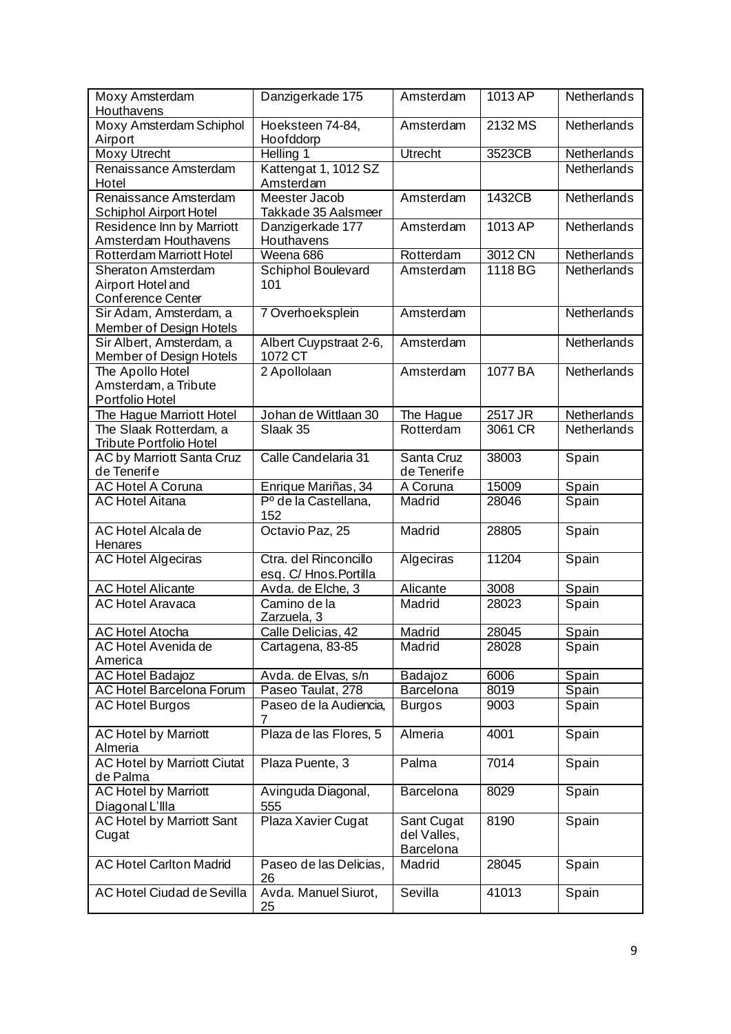| Moxy Amsterdam<br>Houthavens                                        | Danzigerkade 175                                | Amsterdam                                     | 1013 AP | Netherlands |
|---------------------------------------------------------------------|-------------------------------------------------|-----------------------------------------------|---------|-------------|
| Moxy Amsterdam Schiphol<br>Airport                                  | Hoeksteen 74-84,<br>Hoofddorp                   | Amsterdam                                     | 2132 MS | Netherlands |
| <b>Moxy Utrecht</b>                                                 | Helling 1                                       | <b>Utrecht</b>                                | 3523CB  | Netherlands |
| Renaissance Amsterdam<br>Hotel                                      | Kattengat 1, 1012 SZ<br>Amsterdam               |                                               |         | Netherlands |
| Renaissance Amsterdam<br><b>Schiphol Airport Hotel</b>              | Meester Jacob<br>Takkade 35 Aalsmeer            | Amsterdam                                     | 1432CB  | Netherlands |
| Residence Inn by Marriott<br>Amsterdam Houthavens                   | Danzigerkade 177<br>Houthavens                  | Amsterdam                                     | 1013 AP | Netherlands |
| <b>Rotterdam Marriott Hotel</b>                                     | Weena 686                                       | Rotterdam                                     | 3012 CN | Netherlands |
| <b>Sheraton Amsterdam</b><br>Airport Hotel and<br>Conference Center | Schiphol Boulevard<br>101                       | Amsterdam                                     | 1118 BG | Netherlands |
| Sir Adam, Amsterdam, a<br>Member of Design Hotels                   | 7 Overhoeksplein                                | Amsterdam                                     |         | Netherlands |
| Sir Albert, Amsterdam, a<br><b>Member of Design Hotels</b>          | Albert Cuypstraat 2-6,<br>1072 CT               | Amsterdam                                     |         | Netherlands |
| The Apollo Hotel<br>Amsterdam, a Tribute<br>Portfolio Hotel         | 2 Apollolaan                                    | Amsterdam                                     | 1077 BA | Netherlands |
| The Hague Marriott Hotel                                            | Johan de Wittlaan 30                            | The Hague                                     | 2517 JR | Netherlands |
| The Slaak Rotterdam, a<br><b>Tribute Portfolio Hotel</b>            | Slaak 35                                        | Rotterdam                                     | 3061 CR | Netherlands |
| AC by Marriott Santa Cruz<br>de Tenerife                            | Calle Candelaria 31                             | Santa Cruz<br>de Tenerife                     | 38003   | Spain       |
| <b>AC Hotel A Coruna</b>                                            | Enrique Mariñas, 34                             | A Coruna                                      | 15009   | Spain       |
| <b>AC Hotel Aitana</b>                                              | Pº de la Castellana,<br>152                     | Madrid                                        | 28046   | Spain       |
| <b>AC Hotel Alcala de</b><br>Henares                                | Octavio Paz, 25                                 | Madrid                                        | 28805   | Spain       |
| <b>AC Hotel Algeciras</b>                                           | Ctra. del Rinconcillo<br>esq. C/ Hnos. Portilla | Algeciras                                     | 11204   | Spain       |
| <b>AC Hotel Alicante</b>                                            | Avda. de Elche, 3                               | Alicante                                      | 3008    | Spain       |
| <b>AC Hotel Aravaca</b>                                             | Camino de la<br>Zarzuela, 3                     | Madrid                                        | 28023   | Spain       |
| <b>AC Hotel Atocha</b>                                              | Calle Delicias, 42                              | Madrid                                        | 28045   | Spain       |
| AC Hotel Avenida de<br>America                                      | Cartagena, 83-85                                | Madrid                                        | 28028   | Spain       |
| <b>AC Hotel Badajoz</b>                                             | Avda. de Elvas, s/n                             | Badajoz                                       | 6006    | Spain       |
| <b>AC Hotel Barcelona Forum</b>                                     | Paseo Taulat, 278                               | Barcelona                                     | 8019    | Spain       |
| <b>AC Hotel Burgos</b>                                              | Paseo de la Audiencia,<br>7                     | <b>Burgos</b>                                 | 9003    | Spain       |
| <b>AC Hotel by Marriott</b><br>Almeria                              | Plaza de las Flores, 5                          | Almeria                                       | 4001    | Spain       |
| <b>AC Hotel by Marriott Ciutat</b><br>de Palma                      | Plaza Puente, 3                                 | Palma                                         | 7014    | Spain       |
| <b>AC Hotel by Marriott</b><br>Diagonal L'Illa                      | Avinguda Diagonal,<br>555                       | <b>Barcelona</b>                              | 8029    | Spain       |
| <b>AC Hotel by Marriott Sant</b><br>Cugat                           | Plaza Xavier Cugat                              | Sant Cugat<br>del Valles,<br><b>Barcelona</b> | 8190    | Spain       |
| <b>AC Hotel Carlton Madrid</b>                                      | Paseo de las Delicias,<br>26                    | Madrid                                        | 28045   | Spain       |
| AC Hotel Ciudad de Sevilla                                          | Avda. Manuel Siurot,<br>25                      | Sevilla                                       | 41013   | Spain       |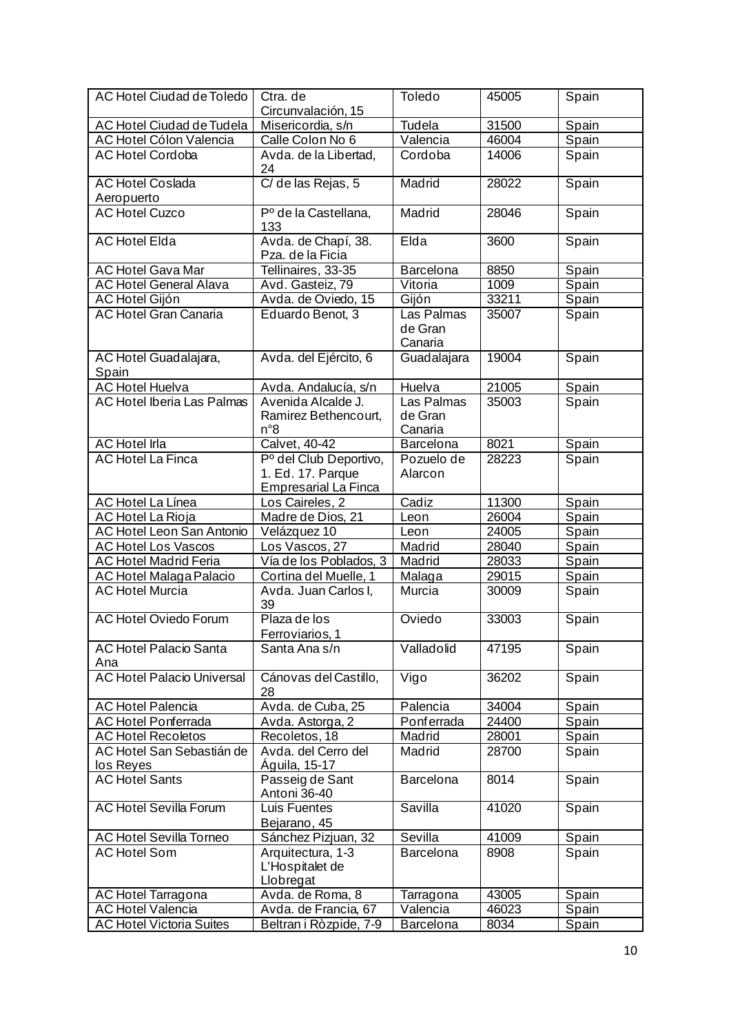| <b>AC Hotel Ciudad de Toledo</b>       | Ctra. de                                                                   | Toledo                           | 45005 | Spain |
|----------------------------------------|----------------------------------------------------------------------------|----------------------------------|-------|-------|
|                                        | Circunvalación, 15                                                         |                                  |       |       |
| AC Hotel Ciudad de Tudela              | Misericordia, s/n                                                          | Tudela                           | 31500 | Spain |
| AC Hotel Cólon Valencia                | Calle Colon No 6                                                           | Valencia                         | 46004 | Spain |
| <b>AC Hotel Cordoba</b>                | Avda. de la Libertad,<br>24                                                | Cordoba                          | 14006 | Spain |
| <b>AC Hotel Coslada</b><br>Aeropuerto  | C/ de las Rejas, 5                                                         | Madrid                           | 28022 | Spain |
| <b>AC Hotel Cuzco</b>                  | Pº de la Castellana,<br>133                                                | Madrid                           | 28046 | Spain |
| <b>AC Hotel Elda</b>                   | Avda. de Chapí, 38.<br>Pza. de la Ficia                                    | Elda                             | 3600  | Spain |
| <b>AC Hotel Gava Mar</b>               | Tellinaires, 33-35                                                         | Barcelona                        | 8850  | Spain |
| <b>AC Hotel General Alava</b>          | Avd. Gasteiz, 79                                                           | Vitoria                          | 1009  | Spain |
| <b>AC Hotel Gijón</b>                  | Avda. de Oviedo, 15                                                        | Gijón                            | 33211 | Spain |
| <b>AC Hotel Gran Canaria</b>           | Eduardo Benot, 3                                                           | Las Palmas<br>de Gran<br>Canaria | 35007 | Spain |
| AC Hotel Guadalajara,<br>Spain         | Avda. del Ejército, 6                                                      | Guadalajara                      | 19004 | Spain |
| <b>AC Hotel Huelva</b>                 | Avda. Andalucía, s/n                                                       | Huelva                           | 21005 | Spain |
| <b>AC Hotel Iberia Las Palmas</b>      | Avenida Alcalde J.<br>Ramirez Bethencourt,<br>n°8                          | Las Palmas<br>de Gran<br>Canaria | 35003 | Spain |
| <b>AC</b> Hotel Irla                   | Calvet, 40-42                                                              | <b>Barcelona</b>                 | 8021  | Spain |
| <b>AC Hotel La Finca</b>               | Pº del Club Deportivo,<br>1. Ed. 17. Parque<br><b>Empresarial La Finca</b> | Pozuelo de<br>Alarcon            | 28223 | Spain |
| AC Hotel La Línea                      | Los Caireles, 2                                                            | Cadiz                            | 11300 | Spain |
| AC Hotel La Rioja                      | Madre de Dios, 21                                                          | Leon                             | 26004 | Spain |
| <b>AC Hotel Leon San Antonio</b>       | Velázquez 10                                                               | Leon                             | 24005 | Spain |
| <b>AC Hotel Los Vascos</b>             | Los Vascos, 27                                                             | Madrid                           | 28040 | Spain |
| <b>AC Hotel Madrid Feria</b>           | Vía de los Poblados, 3                                                     | Madrid                           | 28033 | Spain |
| <b>AC Hotel Malaga Palacio</b>         | Cortina del Muelle, 1                                                      | Malaga                           | 29015 | Spain |
| <b>AC Hotel Murcia</b>                 | Avda. Juan Carlos I,<br>39                                                 | Murcia                           | 30009 | Spain |
| <b>AC Hotel Oviedo Forum</b>           | Plaza de los<br>Ferroviarios, 1                                            | Oviedo                           | 33003 | Spain |
| <b>AC Hotel Palacio Santa</b><br>Ana   | Santa Ana s/n                                                              | Valladolid                       | 47195 | Spain |
| <b>AC Hotel Palacio Universal</b>      | Cánovas del Castillo,<br>28                                                | Vigo                             | 36202 | Spain |
| <b>AC Hotel Palencia</b>               | Avda. de Cuba, 25                                                          | Palencia                         | 34004 | Spain |
| <b>AC Hotel Ponferrada</b>             | Avda. Astorga, 2                                                           | Ponferrada                       | 24400 | Spain |
| <b>AC Hotel Recoletos</b>              | Recoletos, 18                                                              | Madrid                           | 28001 | Spain |
| AC Hotel San Sebastián de<br>los Reyes | Avda. del Cerro del<br>Águila, 15-17                                       | Madrid                           | 28700 | Spain |
| <b>AC</b> Hotel Sants                  | Passeig de Sant<br>Antoni 36-40                                            | Barcelona                        | 8014  | Spain |
| <b>AC Hotel Sevilla Forum</b>          | <b>Luis Fuentes</b><br>Bejarano, 45                                        | Savilla                          | 41020 | Spain |
| AC Hotel Sevilla Torneo                | Sánchez Pizjuan, 32                                                        | Sevilla                          | 41009 | Spain |
| <b>AC</b> Hotel Som                    | Arquitectura, 1-3<br>L'Hospitalet de<br>Llobregat                          | Barcelona                        | 8908  | Spain |
| <b>AC Hotel Tarragona</b>              | Avda. de Roma, 8                                                           | Tarragona                        | 43005 | Spain |
| <b>AC Hotel Valencia</b>               | Avda. de Francia, 67                                                       | Valencia                         | 46023 | Spain |
| <b>AC Hotel Victoria Suites</b>        | Beltran i Ròzpide, 7-9                                                     | Barcelona                        | 8034  | Spain |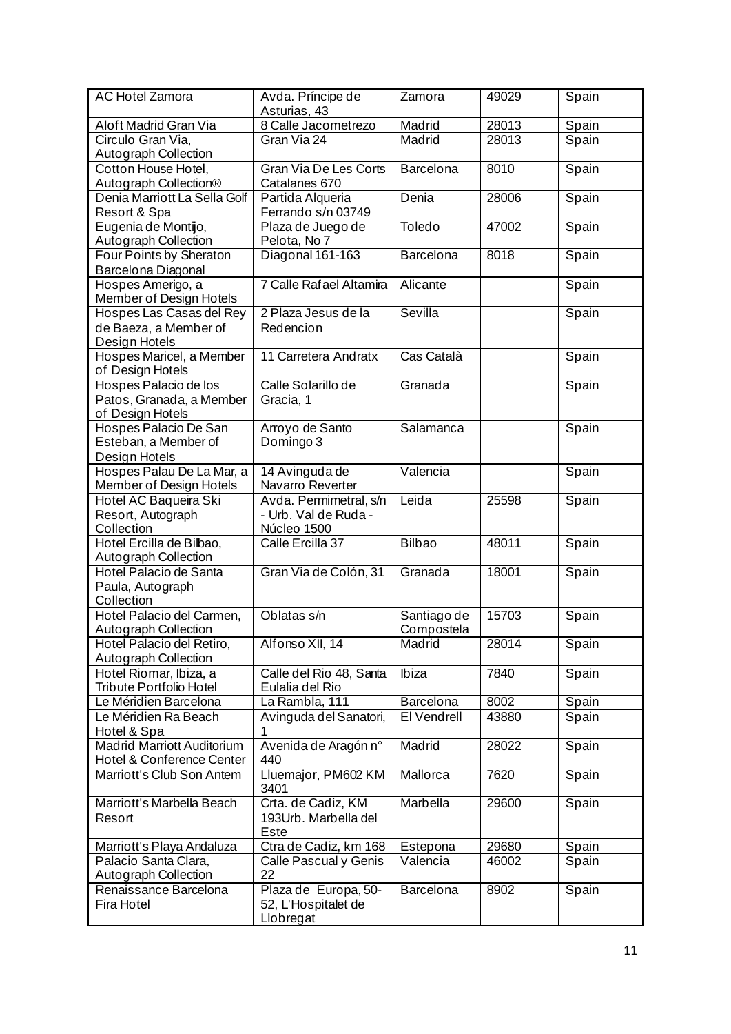| <b>AC Hotel Zamora</b>                                                | Avda. Príncipe de<br>Asturias, 43                               | Zamora                    | 49029 | Spain |
|-----------------------------------------------------------------------|-----------------------------------------------------------------|---------------------------|-------|-------|
| Aloft Madrid Gran Via                                                 | 8 Calle Jacometrezo                                             | Madrid                    | 28013 | Spain |
| Circulo Gran Via,<br>Autograph Collection                             | Gran Via 24                                                     | Madrid                    | 28013 | Spain |
| Cotton House Hotel,<br>Autograph Collection®                          | Gran Via De Les Corts<br>Catalanes 670                          | Barcelona                 | 8010  | Spain |
| Denia Marriott La Sella Golf<br>Resort & Spa                          | Partida Alqueria<br>Ferrando s/n 03749                          | Denia                     | 28006 | Spain |
| Eugenia de Montijo,<br>Autograph Collection                           | Plaza de Juego de<br>Pelota, No 7                               | Toledo                    | 47002 | Spain |
| Four Points by Sheraton<br>Barcelona Diagonal                         | Diagonal 161-163                                                | Barcelona                 | 8018  | Spain |
| Hospes Amerigo, a<br>Member of Design Hotels                          | 7 Calle Rafael Altamira                                         | Alicante                  |       | Spain |
| Hospes Las Casas del Rey<br>de Baeza, a Member of<br>Design Hotels    | 2 Plaza Jesus de la<br>Redencion                                | Sevilla                   |       | Spain |
| Hospes Maricel, a Member<br>of Design Hotels                          | 11 Carretera Andratx                                            | Cas Català                |       | Spain |
| Hospes Palacio de los<br>Patos, Granada, a Member<br>of Design Hotels | Calle Solarillo de<br>Gracia, 1                                 | Granada                   |       | Spain |
| Hospes Palacio De San<br>Esteban, a Member of<br>Design Hotels        | Arroyo de Santo<br>Domingo 3                                    | Salamanca                 |       | Spain |
| Hospes Palau De La Mar, a<br>Member of Design Hotels                  | 14 Avinguda de<br>Navarro Reverter                              | Valencia                  |       | Spain |
| Hotel AC Baqueira Ski<br>Resort, Autograph<br>Collection              | Avda. Permimetral, s/n<br>- Urb. Val de Ruda -<br>Núcleo 1500   | Leida                     | 25598 | Spain |
| Hotel Ercilla de Bilbao,<br>Autograph Collection                      | Calle Ercilla 37                                                | <b>Bilbao</b>             | 48011 | Spain |
| Hotel Palacio de Santa<br>Paula, Autograph<br>Collection              | Gran Via de Colón, 31                                           | Granada                   | 18001 | Spain |
| Hotel Palacio del Carmen,<br>Autograph Collection                     | Oblatas s/n                                                     | Santiago de<br>Compostela | 15703 | Spain |
| Hotel Palacio del Retiro,<br>Autograph Collection                     | Alfonso XII, 14                                                 | Madrid                    | 28014 | Spain |
| Hotel Riomar, Ibiza, a<br>Tribute Portfolio Hotel                     | Calle del Rio 48, Santa<br>Eulalia del Rio                      | Ibiza                     | 7840  | Spain |
| Le Méridien Barcelona                                                 | La Rambla, 111                                                  | <b>Barcelona</b>          | 8002  | Spain |
| Le Méridien Ra Beach<br>Hotel & Spa                                   | Avinguda del Sanatori,<br>1                                     | El Vendrell               | 43880 | Spain |
| <b>Madrid Marriott Auditorium</b><br>Hotel & Conference Center        | Avenida de Aragón n°<br>440                                     | Madrid                    | 28022 | Spain |
| Marriott's Club Son Antem                                             | Lluemajor, PM602 KM<br>3401                                     | Mallorca                  | 7620  | Spain |
| Marriott's Marbella Beach<br>Resort                                   | Crta. de Cadiz, KM<br>193Urb. Marbella del<br><u>Este</u>       | Marbella                  | 29600 | Spain |
| Marriott's Playa Andaluza                                             | Ctra de Cadiz, km 168                                           | Estepona                  | 29680 | Spain |
| Palacio Santa Clara,<br>Autograph Collection                          | Calle Pascual y Genis<br>22                                     | Valencia                  | 46002 | Spain |
| Renaissance Barcelona<br>Fira Hotel                                   | Plaza de Europa, 50-<br>52, L'Hospitalet de<br><b>Llobregat</b> | Barcelona                 | 8902  | Spain |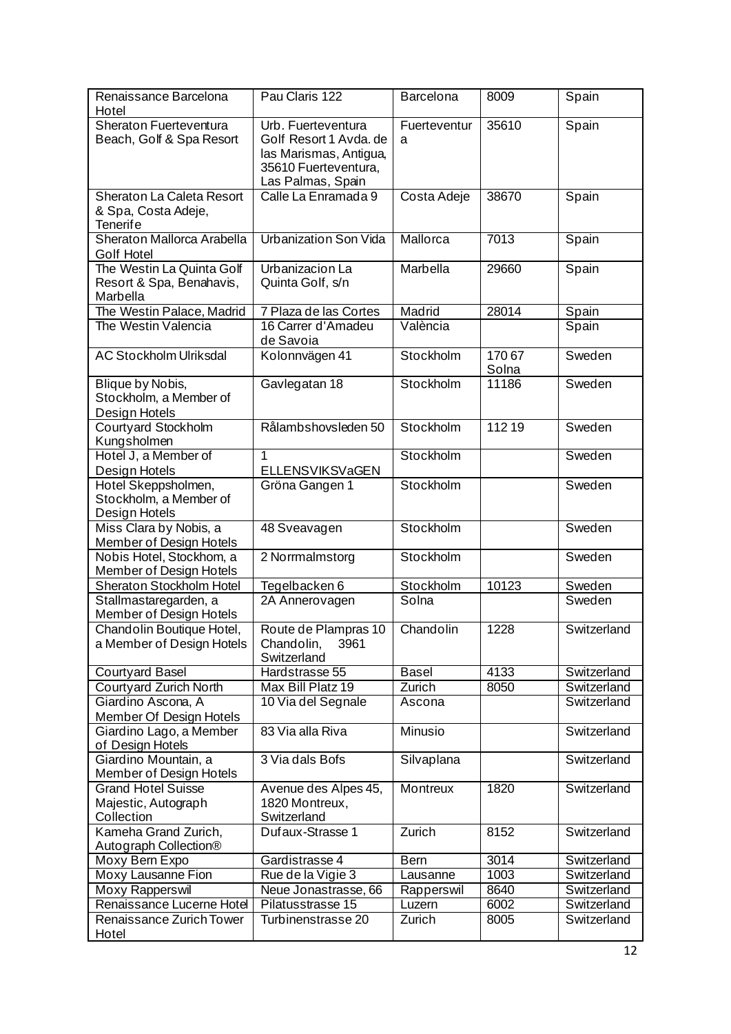| Renaissance Barcelona<br>Hotel                                        | Pau Claris 122                                                                                                      | <b>Barcelona</b>   | 8009           | Spain          |
|-----------------------------------------------------------------------|---------------------------------------------------------------------------------------------------------------------|--------------------|----------------|----------------|
| Sheraton Fuerteventura<br>Beach, Golf & Spa Resort                    | Urb. Fuerteventura<br>Golf Resort 1 Avda. de<br>las Marismas, Antigua,<br>35610 Fuerteventura,<br>Las Palmas, Spain | Fuerteventur<br>a  | 35610          | Spain          |
| Sheraton La Caleta Resort<br>& Spa, Costa Adeje,<br><b>Tenerife</b>   | Calle La Enramada 9                                                                                                 | Costa Adeje        | 38670          | Spain          |
| Sheraton Mallorca Arabella<br>Golf Hotel                              | <b>Urbanization Son Vida</b>                                                                                        | Mallorca           | 7013           | Spain          |
| The Westin La Quinta Golf<br>Resort & Spa, Benahavis,<br>Marbella     | Urbanizacion La<br>Quinta Golf, s/n                                                                                 | Marbella           | 29660          | Spain          |
| The Westin Palace, Madrid<br>The Westin Valencia                      | 7 Plaza de las Cortes<br>16 Carrer d'Amadeu<br>de Savoia                                                            | Madrid<br>València | 28014          | Spain<br>Spain |
| <b>AC Stockholm Ulriksdal</b>                                         | Kolonnvägen 41                                                                                                      | Stockholm          | 17067<br>Solna | Sweden         |
| Blique by Nobis,<br>Stockholm, a Member of<br>Design Hotels           | Gavlegatan 18                                                                                                       | Stockholm          | 11186          | Sweden         |
| Courtyard Stockholm<br>Kungsholmen                                    | Rålambshovsleden 50                                                                                                 | Stockholm          | 112 19         | Sweden         |
| Hotel J, a Member of<br>Design Hotels                                 | 1<br>ELLENSVIKSVaGEN                                                                                                | Stockholm          |                | Sweden         |
| Hotel Skeppsholmen,<br>Stockholm, a Member of<br>Design Hotels        | Gröna Gangen 1                                                                                                      | Stockholm          |                | Sweden         |
| Miss Clara by Nobis, a<br>Member of Design Hotels                     | 48 Sveavagen                                                                                                        | Stockholm          |                | Sweden         |
| Nobis Hotel, Stockhom, a<br><b>Member of Design Hotels</b>            | 2 Norrmalmstorg                                                                                                     | Stockholm          |                | Sweden         |
| Sheraton Stockholm Hotel                                              | Tegelbacken 6                                                                                                       | Stockholm          | 10123          | Sweden         |
| Stallmastaregarden, a<br>Member of Design Hotels                      | 2A Annerovagen                                                                                                      | Solna              |                | Sweden         |
| Chandolin Boutique Hotel,<br>a Member of Design Hotels                | Route de Plampras 10<br>Chandolin,<br>3961<br>Switzerland                                                           | Chandolin          | 1228           | Switzerland    |
| <b>Courtyard Basel</b>                                                | Hardstrasse 55                                                                                                      | <b>Basel</b>       | 4133           | Switzerland    |
| Courtyard Zurich North                                                | Max Bill Platz 19                                                                                                   | Zurich             | 8050           | Switzerland    |
| Giardino Ascona, A<br>Member Of Design Hotels                         | 10 Via del Segnale                                                                                                  | Ascona             |                | Switzerland    |
| Giardino Lago, a Member<br>of Design Hotels                           | 83 Via alla Riva                                                                                                    | <b>Minusio</b>     |                | Switzerland    |
| Giardino Mountain, a<br>Member of Design Hotels                       | 3 Via dals Bofs                                                                                                     | Silvaplana         |                | Switzerland    |
| <b>Grand Hotel Suisse</b><br>Majestic, Autograph<br><b>Collection</b> | Avenue des Alpes 45,<br>1820 Montreux,<br>Switzerland                                                               | <b>Montreux</b>    | 1820           | Switzerland    |
| Kameha Grand Zurich,<br>Autograph Collection®                         | Dufaux-Strasse 1                                                                                                    | Zurich             | 8152           | Switzerland    |
| Moxy Bern Expo                                                        | Gardistrasse 4                                                                                                      | <b>Bern</b>        | 3014           | Switzerland    |
| Moxy Lausanne Fion                                                    | Rue de la Vigie 3                                                                                                   | Lausanne           | 1003           | Switzerland    |
| Moxy Rapperswil                                                       | Neue Jonastrasse, 66                                                                                                | Rapperswil         | 8640           | Switzerland    |
| Renaissance Lucerne Hotel                                             | Pilatusstrasse 15                                                                                                   | Luzern             | 6002           | Switzerland    |
| Renaissance Zurich Tower<br>Hotel                                     | Turbinenstrasse 20                                                                                                  | Zurich             | 8005           | Switzerland    |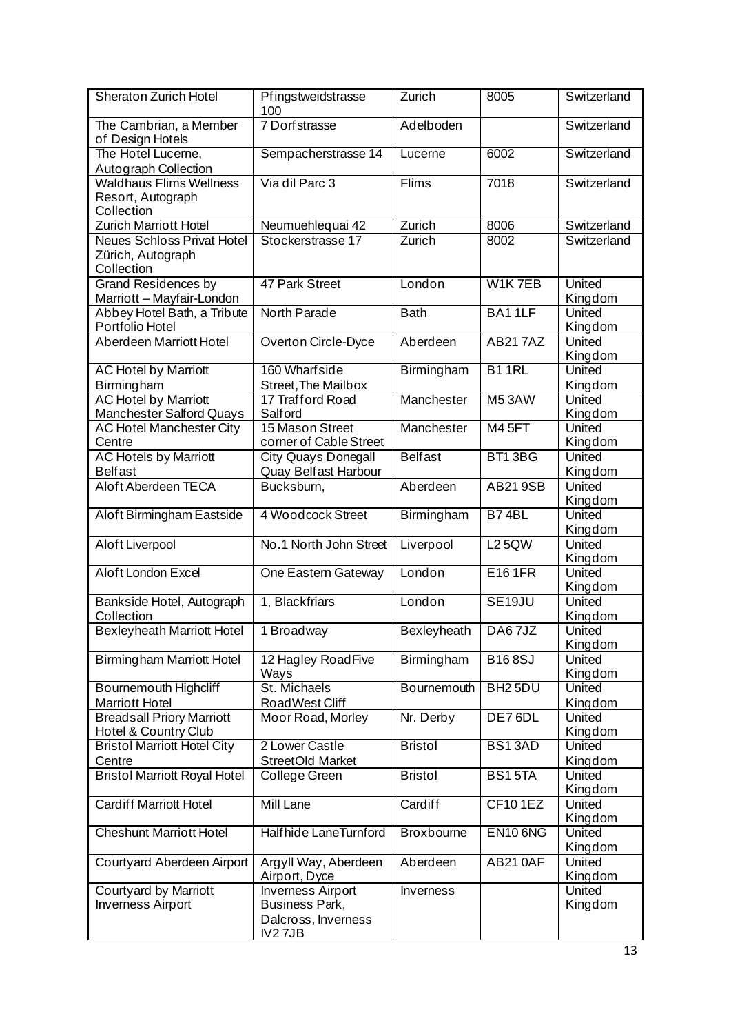| <b>Sheraton Zurich Hotel</b>                                         | Pfingstweidstrasse<br>100                                                   | Zurich             | 8005                | Switzerland              |
|----------------------------------------------------------------------|-----------------------------------------------------------------------------|--------------------|---------------------|--------------------------|
| The Cambrian, a Member<br>of Design Hotels                           | 7 Dorfstrasse                                                               | Adelboden          |                     | Switzerland              |
| The Hotel Lucerne,<br>Autograph Collection                           | Sempacherstrasse 14                                                         | Lucerne            | 6002                | Switzerland              |
| <b>Waldhaus Flims Wellness</b><br>Resort, Autograph<br>Collection    | Via dil Parc 3                                                              | Flims              | 7018                | Switzerland              |
| <b>Zurich Marriott Hotel</b>                                         | Neumuehlequai 42                                                            | Zurich             | 8006                | Switzerland              |
| <b>Neues Schloss Privat Hotel</b><br>Zürich, Autograph<br>Collection | Stockerstrasse 17                                                           | Zurich             | 8002                | Switzerland              |
| <b>Grand Residences by</b><br>Marriott - Mayfair-London              | 47 Park Street                                                              | London             | W1K7EB              | United<br>Kingdom        |
| Abbey Hotel Bath, a Tribute<br>Portfolio Hotel                       | North Parade                                                                | <b>Bath</b>        | BA11LF              | United<br>Kingdom        |
| Aberdeen Marriott Hotel                                              | <b>Overton Circle-Dyce</b>                                                  | Aberdeen           | <b>AB217AZ</b>      | United<br>Kingdom        |
| <b>AC Hotel by Marriott</b><br>Birmingham                            | 160 Wharfside<br>Street, The Mailbox                                        | <b>Birmingham</b>  | B <sub>1</sub> 1RL  | United<br>Kingdom        |
| <b>AC Hotel by Marriott</b><br><b>Manchester Salford Quays</b>       | 17 Trafford Road<br>Salford                                                 | Manchester         | M53AW               | United<br>Kingdom        |
| <b>AC Hotel Manchester City</b><br>Centre                            | 15 Mason Street<br>corner of Cable Street                                   | Manchester         | <b>M45FT</b>        | United<br>Kingdom        |
| <b>AC Hotels by Marriott</b><br><b>Belfast</b>                       | <b>City Quays Donegall</b><br><b>Quay Belfast Harbour</b>                   | <b>Belfast</b>     | BT13BG              | <b>United</b><br>Kingdom |
| Aloft Aberdeen TECA                                                  | Bucksburn,                                                                  | Aberdeen           | <b>AB21 9SB</b>     | United<br>Kingdom        |
| Aloft Birmingham Eastside                                            | 4 Woodcock Street                                                           | Birmingham         | B74BL               | <b>United</b><br>Kingdom |
| Aloft Liverpool                                                      | No.1 North John Street                                                      | Liverpool          | <b>L2 5QW</b>       | United<br>Kingdom        |
| Aloft London Excel                                                   | One Eastern Gateway                                                         | London             | E161FR              | United<br>Kingdom        |
| Bankside Hotel, Autograph<br>Collection                              | 1, Blackfriars                                                              | London             | SE <sub>19JU</sub>  | <b>United</b><br>Kingdom |
| <b>Bexleyheath Marriott Hotel</b>                                    | 1 Broadway                                                                  | <b>Bexleyheath</b> | DA67JZ              | United<br>Kingdom        |
| <b>Birmingham Marriott Hotel</b>                                     | 12 Hagley RoadFive<br>Ways                                                  | Birmingham         | <b>B168SJ</b>       | United<br>Kingdom        |
| Bournemouth Highcliff<br><b>Marriott Hotel</b>                       | St. Michaels<br>RoadWest Cliff                                              | Bournemouth        | BH <sub>2</sub> 5DU | United<br>Kingdom        |
| <b>Breadsall Priory Marriott</b><br>Hotel & Country Club             | Moor Road, Morley                                                           | Nr. Derby          | DE76DL              | United<br>Kingdom        |
| <b>Bristol Marriott Hotel City</b>                                   | 2 Lower Castle                                                              | <b>Bristol</b>     | <b>BS13AD</b>       | United                   |
| Centre                                                               | <b>StreetOld Market</b>                                                     |                    |                     | Kingdom                  |
| <b>Bristol Marriott Royal Hotel</b>                                  | College Green                                                               | <b>Bristol</b>     | <b>BS15TA</b>       | United<br>Kingdom        |
| <b>Cardiff Marriott Hotel</b>                                        | Mill Lane                                                                   | Cardiff            | <b>CF101EZ</b>      | United<br>Kingdom        |
| <b>Cheshunt Marriott Hotel</b>                                       | Halfhide LaneTurnford                                                       | <b>Broxbourne</b>  | <b>EN10 6NG</b>     | <b>United</b><br>Kingdom |
| Courtyard Aberdeen Airport                                           | Argyll Way, Aberdeen<br>Airport, Dyce                                       | Aberdeen           | <b>AB210AF</b>      | United<br>Kingdom        |
| <b>Courtyard by Marriott</b><br><b>Inverness Airport</b>             | <b>Inverness Airport</b><br>Business Park,<br>Dalcross, Inverness<br>IV27JB | Inverness          |                     | United<br>Kingdom        |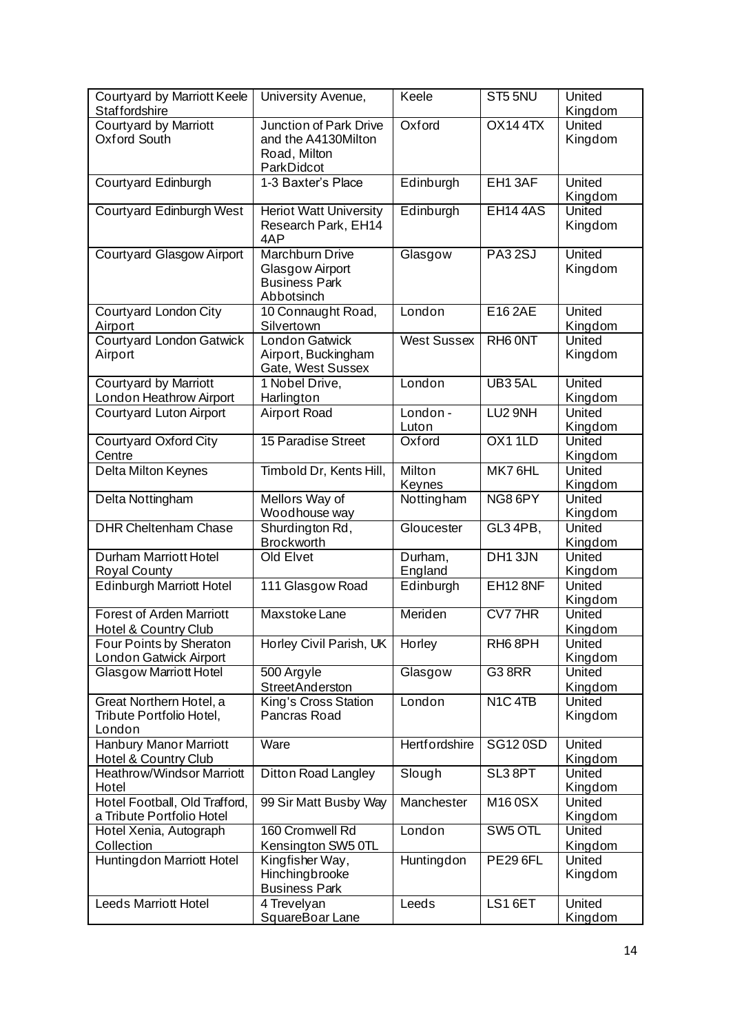| Courtyard by Marriott Keele<br><b>Staffordshire</b>                | University Avenue,                                                                 | Keele                | ST55NU                                       | United<br>Kingdom        |
|--------------------------------------------------------------------|------------------------------------------------------------------------------------|----------------------|----------------------------------------------|--------------------------|
| <b>Courtyard by Marriott</b><br>Oxford South                       | <b>Junction of Park Drive</b><br>and the A4130Milton<br>Road, Milton<br>ParkDidcot | Oxford               | OX144TX                                      | United<br>Kingdom        |
| Courtyard Edinburgh                                                | 1-3 Baxter's Place                                                                 | Edinburgh            | EH13AF                                       | United<br>Kingdom        |
| <b>Courtyard Edinburgh West</b>                                    | <b>Heriot Watt University</b><br>Research Park, EH14<br>4AP                        | Edinburgh            | <b>EH144AS</b>                               | <b>United</b><br>Kingdom |
| <b>Courtyard Glasgow Airport</b>                                   | <b>Marchburn Drive</b><br>Glasgow Airport<br><b>Business Park</b><br>Abbotsinch    | Glasgow              | <b>PA32SJ</b>                                | United<br>Kingdom        |
| <b>Courtyard London City</b><br>Airport                            | 10 Connaught Road,<br>Silvertown                                                   | London               | E16 2AE                                      | United<br>Kingdom        |
| <b>Courtyard London Gatwick</b><br>Airport                         | London Gatwick<br>Airport, Buckingham<br>Gate, West Sussex                         | <b>West Sussex</b>   | RH <sub>6</sub> ONT                          | United<br>Kingdom        |
| <b>Courtyard by Marriott</b><br>London Heathrow Airport            | 1 Nobel Drive,<br>Harlington                                                       | London               | UB35AL                                       | <b>United</b><br>Kingdom |
| Courtyard Luton Airport                                            | <b>Airport Road</b>                                                                | London -<br>Luton    | LU2 9NH                                      | United<br>Kingdom        |
| <b>Courtyard Oxford City</b><br>Centre                             | 15 Paradise Street                                                                 | Oxford               | OX11LD                                       | <b>United</b><br>Kingdom |
| Delta Milton Keynes                                                | Timbold Dr, Kents Hill,                                                            | Milton<br>Keynes     | MK76HL                                       | United<br>Kingdom        |
| Delta Nottingham                                                   | Mellors Way of<br>Woodhouse way                                                    | Nottingham           | NG86PY                                       | United<br>Kingdom        |
| <b>DHR Cheltenham Chase</b>                                        | Shurdington Rd,<br><b>Brockworth</b>                                               | Gloucester           | GL3 4PB,                                     | <b>United</b><br>Kingdom |
| <b>Durham Marriott Hotel</b><br><b>Royal County</b>                | Old Elvet                                                                          | Durham,<br>England   | DH13JN                                       | United<br>Kingdom        |
| <b>Edinburgh Marriott Hotel</b>                                    | 111 Glasgow Road                                                                   | Edinburgh            | <b>EH12 8NF</b>                              | United<br>Kingdom        |
| <b>Forest of Arden Marriott</b><br><b>Hotel &amp; Country Club</b> | Maxstoke Lane                                                                      | Meriden              | CV77HR                                       | United<br>Kingdom        |
| Four Points by Sheraton<br>London Gatwick Airport                  | Horley Civil Parish, UK                                                            | Horley               | RH68PH                                       | United<br>Kingdom        |
| Glasgow Marriott Hotel                                             | 500 Argyle<br>StreetAnderston                                                      | Glasgow              | G38RR                                        | United<br>Kingdom        |
| Great Northern Hotel, a<br>Tribute Portfolio Hotel,<br>London      | King's Cross Station<br>Pancras Road                                               | London               | N <sub>1</sub> C <sub>4</sub> T <sub>B</sub> | United<br>Kingdom        |
| <b>Hanbury Manor Marriott</b><br>Hotel & Country Club              | Ware                                                                               | <b>Hertfordshire</b> | <b>SG120SD</b>                               | <b>United</b><br>Kingdom |
| <b>Heathrow/Windsor Marriott</b><br>Hotel                          | <b>Ditton Road Langley</b>                                                         | Slough               | SL3 8PT                                      | United<br>Kingdom        |
| Hotel Football, Old Trafford,<br>a Tribute Portfolio Hotel         | 99 Sir Matt Busby Way                                                              | Manchester           | M160SX                                       | United<br>Kingdom        |
| Hotel Xenia, Autograph<br>Collection                               | 160 Cromwell Rd<br>Kensington SW5 0TL                                              | London               | SW <sub>5</sub> OTL                          | United<br>Kingdom        |
| <b>Huntingdon Marriott Hotel</b>                                   | Kingfisher Way,<br>Hinchingbrooke<br><b>Business Park</b>                          | Huntingdon           | <b>PE29 6FL</b>                              | United<br>Kingdom        |
| <b>Leeds Marriott Hotel</b>                                        | 4 Trevelyan<br>SquareBoar Lane                                                     | Leeds                | LS16ET                                       | United<br>Kingdom        |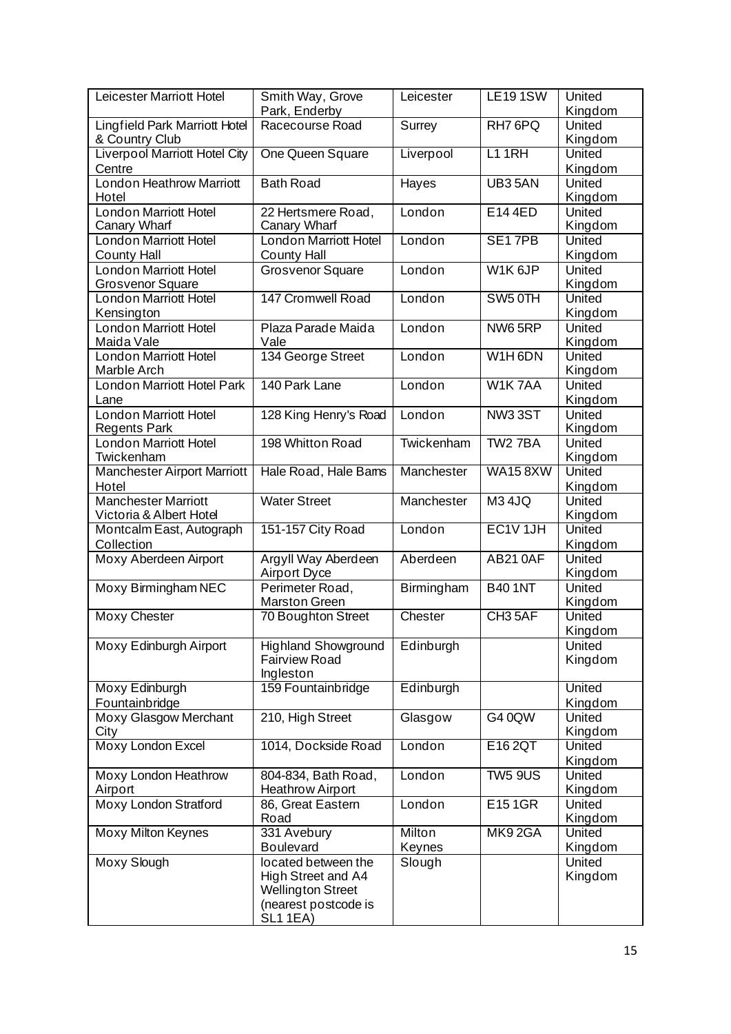| <b>Leicester Marriott Hotel</b>                         | Smith Way, Grove<br>Park, Enderby                                                                                | Leicester        | <b>LE191SW</b>      | United<br>Kingdom |
|---------------------------------------------------------|------------------------------------------------------------------------------------------------------------------|------------------|---------------------|-------------------|
| Lingfield Park Marriott Hotel<br>& Country Club         | Racecourse Road                                                                                                  | Surrey           | RH7 6PQ             | United<br>Kingdom |
| <b>Liverpool Marriott Hotel City</b><br>Centre          | One Queen Square                                                                                                 | Liverpool        | $L1$ 1RH            | United<br>Kingdom |
| London Heathrow Marriott<br>Hotel                       | <b>Bath Road</b>                                                                                                 | Hayes            | UB35AN              | United<br>Kingdom |
| <b>London Marriott Hotel</b><br>Canary Wharf            | 22 Hertsmere Road,<br>Canary Wharf                                                                               | London           | E144ED              | United<br>Kingdom |
| <b>London Marriott Hotel</b><br><b>County Hall</b>      | <b>London Marriott Hotel</b><br><b>County Hall</b>                                                               | London           | SE17PB              | United<br>Kingdom |
| <b>London Marriott Hotel</b><br><b>Grosvenor Square</b> | <b>Grosvenor Square</b>                                                                                          | London           | W1K <sub>6JP</sub>  | United<br>Kingdom |
| <b>London Marriott Hotel</b><br>Kensington              | <b>147 Cromwell Road</b>                                                                                         | London           | SW <sub>5</sub> 0TH | United<br>Kingdom |
| <b>London Marriott Hotel</b><br>Maida Vale              | Plaza Parade Maida<br>Vale                                                                                       | London           | NW65RP              | United<br>Kingdom |
| London Marriott Hotel<br>Marble Arch                    | 134 George Street                                                                                                | London           | W1H6DN              | United<br>Kingdom |
| <b>London Marriott Hotel Park</b><br>Lane               | 140 Park Lane                                                                                                    | London           | W1K7AA              | United<br>Kingdom |
| <b>London Marriott Hotel</b><br><b>Regents Park</b>     | 128 King Henry's Road                                                                                            | London           | <b>NW33ST</b>       | United<br>Kingdom |
| <b>London Marriott Hotel</b><br>Twickenham              | 198 Whitton Road                                                                                                 | Twickenham       | TW2 7BA             | United<br>Kingdom |
| <b>Manchester Airport Marriott</b><br>Hotel             | Hale Road, Hale Bams                                                                                             | Manchester       | <b>WA158XW</b>      | United<br>Kingdom |
| <b>Manchester Marriott</b><br>Victoria & Albert Hotel   | <b>Water Street</b>                                                                                              | Manchester       | <b>M34JQ</b>        | United<br>Kingdom |
| Montcalm East, Autograph<br>Collection                  | 151-157 City Road                                                                                                | London           | EC1V 1JH            | United<br>Kingdom |
| Moxy Aberdeen Airport                                   | Argyll Way Aberdeen<br>Airport Dyce                                                                              | Aberdeen         | <b>AB210AF</b>      | United<br>Kingdom |
| Moxy Birmingham NEC                                     | Perimeter Road,<br><b>Marston Green</b>                                                                          | Birmingham       | <b>B40 1NT</b>      | United<br>Kingdom |
| <b>Moxy Chester</b>                                     | 70 Boughton Street                                                                                               | Chester          | CH <sub>3</sub> 5AF | United<br>Kingdom |
| Moxy Edinburgh Airport                                  | <b>Highland Showground</b><br><b>Fairview Road</b><br>Ingleston                                                  | Edinburgh        |                     | United<br>Kingdom |
| Moxy Edinburgh<br><b>Fountainbridge</b>                 | 159 Fountainbridge                                                                                               | Edinburgh        |                     | United<br>Kingdom |
| Moxy Glasgow Merchant<br>City                           | 210, High Street                                                                                                 | Glasgow          | G4 0QW              | United<br>Kingdom |
| Moxy London Excel                                       | 1014, Dockside Road                                                                                              | London           | E16 2QT             | United<br>Kingdom |
| Moxy London Heathrow<br>Airport                         | 804-834, Bath Road,<br><b>Heathrow Airport</b>                                                                   | London           | <b>TW5 9US</b>      | United<br>Kingdom |
| Moxy London Stratford                                   | 86, Great Eastern<br>Road                                                                                        | London           | E151GR              | United<br>Kingdom |
| <b>Moxy Milton Keynes</b>                               | 331 Avebury<br><b>Boulevard</b>                                                                                  | Milton<br>Keynes | MK92GA              | United<br>Kingdom |
| Moxy Slough                                             | located between the<br>High Street and A4<br><b>Wellington Street</b><br>(nearest postcode is<br><b>SL1 1EA)</b> | Slough           |                     | United<br>Kingdom |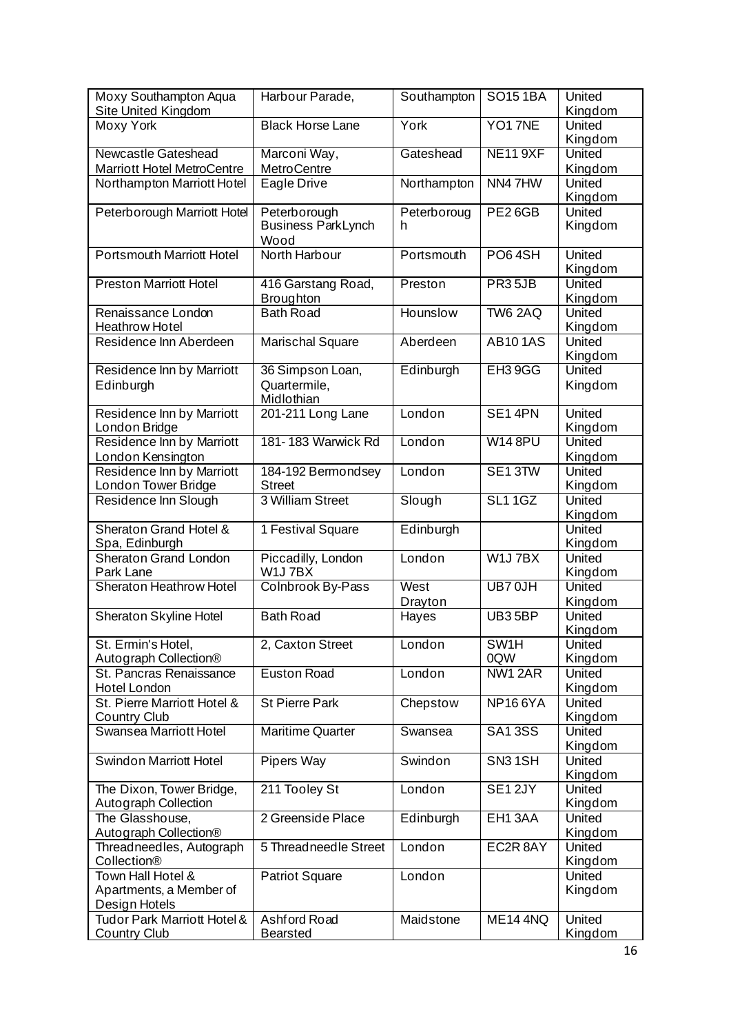| Moxy Southampton Aqua<br>Site United Kingdom                    | Harbour Parade,                                   | Southampton      | <b>SO151BA</b>      | United<br>Kingdom        |
|-----------------------------------------------------------------|---------------------------------------------------|------------------|---------------------|--------------------------|
| Moxy York                                                       | <b>Black Horse Lane</b>                           | York             | YO17NE              | United<br>Kingdom        |
| <b>Newcastle Gateshead</b><br><b>Marriott Hotel MetroCentre</b> | Marconi Way,<br><b>MetroCentre</b>                | Gateshead        | <b>NE11 9XF</b>     | United<br>Kingdom        |
| Northampton Marriott Hotel                                      | Eagle Drive                                       | Northampton      | NN47HW              | United<br>Kingdom        |
| Peterborough Marriott Hotel                                     | Peterborough<br><b>Business ParkLynch</b><br>Wood | Peterboroug<br>h | PE26GB              | United<br>Kingdom        |
| <b>Portsmouth Marriott Hotel</b>                                | North Harbour                                     | Portsmouth       | PO64SH              | United<br>Kingdom        |
| <b>Preston Marriott Hotel</b>                                   | 416 Garstang Road,<br><b>Broughton</b>            | Preston          | PR35JB              | United<br>Kingdom        |
| Renaissance London<br><b>Heathrow Hotel</b>                     | <b>Bath Road</b>                                  | Hounslow         | <b>TW6 2AQ</b>      | United<br>Kingdom        |
| Residence Inn Aberdeen                                          | <b>Marischal Square</b>                           | Aberdeen         | <b>AB101AS</b>      | United<br>Kingdom        |
| <b>Residence Inn by Marriott</b><br>Edinburgh                   | 36 Simpson Loan,<br>Quartermile,<br>Midlothian    | Edinburgh        | EH <sub>3</sub> 9GG | United<br>Kingdom        |
| Residence Inn by Marriott<br>London Bridge                      | 201-211 Long Lane                                 | London           | SE14PN              | United<br>Kingdom        |
| Residence Inn by Marriott<br>London Kensington                  | 181-183 Warwick Rd                                | London           | <b>W14 8PU</b>      | United<br>Kingdom        |
| Residence Inn by Marriott<br>London Tower Bridge                | 184-192 Bermondsey<br><b>Street</b>               | London           | SE13TW              | United<br>Kingdom        |
| Residence Inn Slough                                            | 3 William Street                                  | Slough           | <b>SL11GZ</b>       | United<br>Kingdom        |
| Sheraton Grand Hotel &<br>Spa, Edinburgh                        | 1 Festival Square                                 | Edinburgh        |                     | United<br>Kingdom        |
| Sheraton Grand London<br>Park Lane                              | Piccadilly, London<br>W1J7BX                      | London           | W1J7BX              | United<br>Kingdom        |
| <b>Sheraton Heathrow Hotel</b>                                  | Colnbrook By-Pass                                 | West<br>Drayton  | UB7 0JH             | <b>United</b><br>Kingdom |
| Sheraton Skyline Hotel                                          | <b>Bath Road</b>                                  | Hayes            | UB35BP              | United<br>Kingdom        |
| St. Ermin's Hotel,<br>Autograph Collection <sup>®</sup>         | 2, Caxton Street                                  | London           | SW1H<br>0QW         | United<br>Kingdom        |
| St. Pancras Renaissance<br>Hotel London                         | <b>Euston Road</b>                                | London           | NW1 2AR             | United<br>Kingdom        |
| St. Pierre Marriott Hotel &<br><b>Country Club</b>              | <b>St Pierre Park</b>                             | Chepstow         | <b>NP166YA</b>      | United<br>Kingdom        |
| Swansea Marriott Hotel                                          | <b>Maritime Quarter</b>                           | Swansea          | <b>SA13SS</b>       | United<br>Kingdom        |
| <b>Swindon Marriott Hotel</b>                                   | Pipers Way                                        | Swindon          | SN <sub>3</sub> 1SH | United<br>Kingdom        |
| The Dixon, Tower Bridge,<br>Autograph Collection                | 211 Tooley St                                     | London           | SE12JY              | United<br>Kingdom        |
| The Glasshouse,<br>Autograph Collection <sup>®</sup>            | 2 Greenside Place                                 | Edinburgh        | EH <sub>1</sub> 3AA | United<br>Kingdom        |
| Threadneedles, Autograph<br>Collection®                         | 5 Threadneedle Street                             | London           | EC2R 8AY            | United<br>Kingdom        |
| Town Hall Hotel &<br>Apartments, a Member of<br>Design Hotels   | <b>Patriot Square</b>                             | London           |                     | United<br>Kingdom        |
| Tudor Park Marriott Hotel &<br>Country Club                     | Ashford Road<br><b>Bearsted</b>                   | Maidstone        | <b>ME14 4NQ</b>     | United<br>Kingdom        |